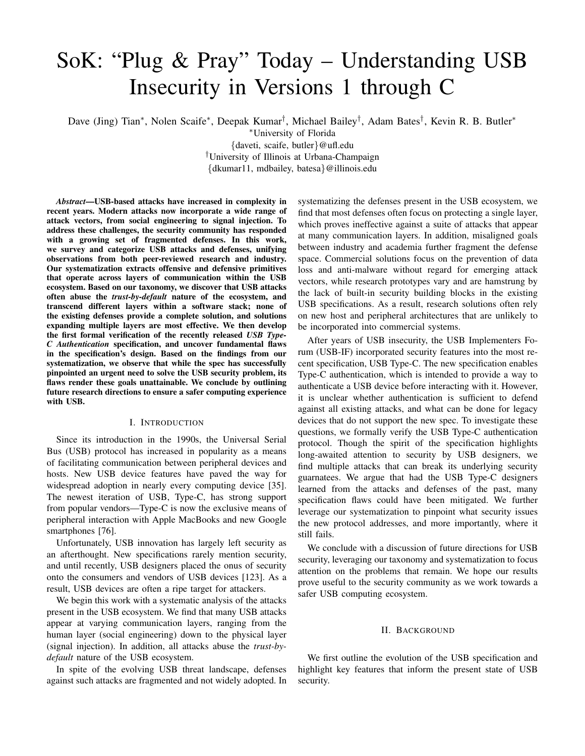# SoK: "Plug & Pray" Today – Understanding USB Insecurity in Versions 1 through C

Dave (Jing) Tian\*, Nolen Scaife\*, Deepak Kumar<sup>†</sup>, Michael Bailey<sup>†</sup>, Adam Bates<sup>†</sup>, Kevin R. B. Butler<sup>\*</sup>

<sup>∗</sup>University of Florida

{daveti, scaife, butler}@ufl.edu †University of Illinois at Urbana-Champaign {dkumar11, mdbailey, batesa}@illinois.edu

*Abstract*—USB-based attacks have increased in complexity in recent years. Modern attacks now incorporate a wide range of attack vectors, from social engineering to signal injection. To address these challenges, the security community has responded with a growing set of fragmented defenses. In this work, we survey and categorize USB attacks and defenses, unifying observations from both peer-reviewed research and industry. Our systematization extracts offensive and defensive primitives that operate across layers of communication within the USB ecosystem. Based on our taxonomy, we discover that USB attacks often abuse the *trust-by-default* nature of the ecosystem, and transcend different layers within a software stack; none of the existing defenses provide a complete solution, and solutions expanding multiple layers are most effective. We then develop the first formal verification of the recently released *USB Type-C Authentication* specification, and uncover fundamental flaws in the specification's design. Based on the findings from our systematization, we observe that while the spec has successfully pinpointed an urgent need to solve the USB security problem, its flaws render these goals unattainable. We conclude by outlining future research directions to ensure a safer computing experience with USB.

## I. INTRODUCTION

Since its introduction in the 1990s, the Universal Serial Bus (USB) protocol has increased in popularity as a means of facilitating communication between peripheral devices and hosts. New USB device features have paved the way for widespread adoption in nearly every computing device [\[35\]](#page-14-0). The newest iteration of USB, Type-C, has strong support from popular vendors—Type-C is now the exclusive means of peripheral interaction with Apple MacBooks and new Google smartphones [\[76\]](#page-14-1).

Unfortunately, USB innovation has largely left security as an afterthought. New specifications rarely mention security, and until recently, USB designers placed the onus of security onto the consumers and vendors of USB devices [\[123\]](#page-15-0). As a result, USB devices are often a ripe target for attackers.

We begin this work with a systematic analysis of the attacks present in the USB ecosystem. We find that many USB attacks appear at varying communication layers, ranging from the human layer (social engineering) down to the physical layer (signal injection). In addition, all attacks abuse the *trust-bydefault* nature of the USB ecosystem.

In spite of the evolving USB threat landscape, defenses against such attacks are fragmented and not widely adopted. In systematizing the defenses present in the USB ecosystem, we find that most defenses often focus on protecting a single layer, which proves ineffective against a suite of attacks that appear at many communication layers. In addition, misaligned goals between industry and academia further fragment the defense space. Commercial solutions focus on the prevention of data loss and anti-malware without regard for emerging attack vectors, while research prototypes vary and are hamstrung by the lack of built-in security building blocks in the existing USB specifications. As a result, research solutions often rely on new host and peripheral architectures that are unlikely to be incorporated into commercial systems.

After years of USB insecurity, the USB Implementers Forum (USB-IF) incorporated security features into the most recent specification, USB Type-C. The new specification enables Type-C authentication, which is intended to provide a way to authenticate a USB device before interacting with it. However, it is unclear whether authentication is sufficient to defend against all existing attacks, and what can be done for legacy devices that do not support the new spec. To investigate these questions, we formally verify the USB Type-C authentication protocol. Though the spirit of the specification highlights long-awaited attention to security by USB designers, we find multiple attacks that can break its underlying security guarnatees. We argue that had the USB Type-C designers learned from the attacks and defenses of the past, many specification flaws could have been mitigated. We further leverage our systematization to pinpoint what security issues the new protocol addresses, and more importantly, where it still fails.

We conclude with a discussion of future directions for USB security, leveraging our taxonomy and systematization to focus attention on the problems that remain. We hope our results prove useful to the security community as we work towards a safer USB computing ecosystem.

## II. BACKGROUND

We first outline the evolution of the USB specification and highlight key features that inform the present state of USB security.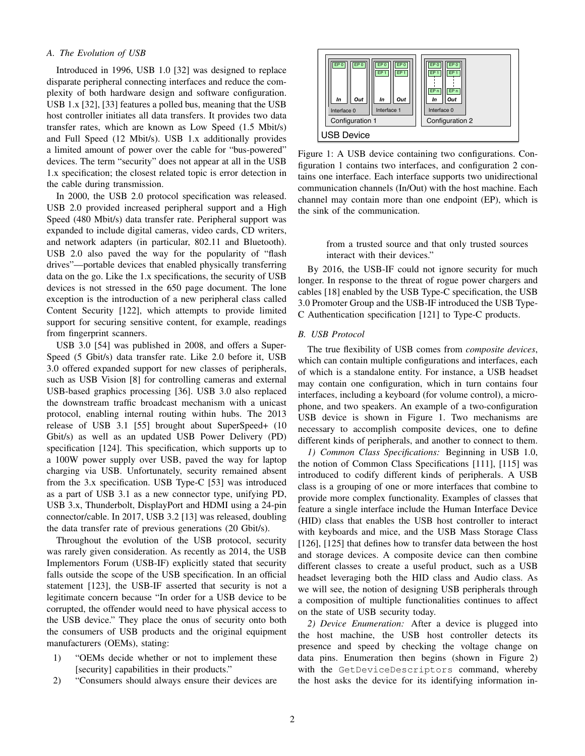## *A. The Evolution of USB*

Introduced in 1996, USB 1.0 [\[32\]](#page-13-0) was designed to replace disparate peripheral connecting interfaces and reduce the complexity of both hardware design and software configuration. USB 1.x [\[32\]](#page-13-0), [\[33\]](#page-13-1) features a polled bus, meaning that the USB host controller initiates all data transfers. It provides two data transfer rates, which are known as Low Speed (1.5 Mbit/s) and Full Speed (12 Mbit/s). USB 1.x additionally provides a limited amount of power over the cable for "bus-powered" devices. The term "security" does not appear at all in the USB 1.x specification; the closest related topic is error detection in the cable during transmission.

In 2000, the USB 2.0 protocol specification was released. USB 2.0 provided increased peripheral support and a High Speed (480 Mbit/s) data transfer rate. Peripheral support was expanded to include digital cameras, video cards, CD writers, and network adapters (in particular, 802.11 and Bluetooth). USB 2.0 also paved the way for the popularity of "flash drives"—portable devices that enabled physically transferring data on the go. Like the 1.x specifications, the security of USB devices is not stressed in the 650 page document. The lone exception is the introduction of a new peripheral class called Content Security [\[122\]](#page-15-1), which attempts to provide limited support for securing sensitive content, for example, readings from fingerprint scanners.

USB 3.0 [\[54\]](#page-14-2) was published in 2008, and offers a Super-Speed (5 Gbit/s) data transfer rate. Like 2.0 before it, USB 3.0 offered expanded support for new classes of peripherals, such as USB Vision [\[8\]](#page-13-2) for controlling cameras and external USB-based graphics processing [\[36\]](#page-14-3). USB 3.0 also replaced the downstream traffic broadcast mechanism with a unicast protocol, enabling internal routing within hubs. The 2013 release of USB 3.1 [\[55\]](#page-14-4) brought about SuperSpeed+ (10 Gbit/s) as well as an updated USB Power Delivery (PD) specification [\[124\]](#page-15-2). This specification, which supports up to a 100W power supply over USB, paved the way for laptop charging via USB. Unfortunately, security remained absent from the 3.x specification. USB Type-C [\[53\]](#page-14-5) was introduced as a part of USB 3.1 as a new connector type, unifying PD, USB 3.x, Thunderbolt, DisplayPort and HDMI using a 24-pin connector/cable. In 2017, USB 3.2 [\[13\]](#page-13-3) was released, doubling the data transfer rate of previous generations (20 Gbit/s).

Throughout the evolution of the USB protocol, security was rarely given consideration. As recently as 2014, the USB Implementors Forum (USB-IF) explicitly stated that security falls outside the scope of the USB specification. In an official statement [\[123\]](#page-15-0), the USB-IF asserted that security is not a legitimate concern because "In order for a USB device to be corrupted, the offender would need to have physical access to the USB device." They place the onus of security onto both the consumers of USB products and the original equipment manufacturers (OEMs), stating:

- 1) "OEMs decide whether or not to implement these [security] capabilities in their products."
- 2) "Consumers should always ensure their devices are

<span id="page-1-0"></span>

Figure 1: A USB device containing two configurations. Configuration 1 contains two interfaces, and configuration 2 contains one interface. Each interface supports two unidirectional communication channels (In/Out) with the host machine. Each channel may contain more than one endpoint (EP), which is the sink of the communication.

from a trusted source and that only trusted sources interact with their devices."

By 2016, the USB-IF could not ignore security for much longer. In response to the threat of rogue power chargers and cables [\[18\]](#page-13-4) enabled by the USB Type-C specification, the USB 3.0 Promoter Group and the USB-IF introduced the USB Type-C Authentication specification [\[121\]](#page-15-3) to Type-C products.

#### *B. USB Protocol*

The true flexibility of USB comes from *composite devices*, which can contain multiple configurations and interfaces, each of which is a standalone entity. For instance, a USB headset may contain one configuration, which in turn contains four interfaces, including a keyboard (for volume control), a microphone, and two speakers. An example of a two-configuration USB device is shown in Figure [1.](#page-1-0) Two mechanisms are necessary to accomplish composite devices, one to define different kinds of peripherals, and another to connect to them.

*1) Common Class Specifications:* Beginning in USB 1.0, the notion of Common Class Specifications [\[111\]](#page-15-4), [\[115\]](#page-15-5) was introduced to codify different kinds of peripherals. A USB class is a grouping of one or more interfaces that combine to provide more complex functionality. Examples of classes that feature a single interface include the Human Interface Device (HID) class that enables the USB host controller to interact with keyboards and mice, and the USB Mass Storage Class [\[126\]](#page-15-6), [\[125\]](#page-15-7) that defines how to transfer data between the host and storage devices. A composite device can then combine different classes to create a useful product, such as a USB headset leveraging both the HID class and Audio class. As we will see, the notion of designing USB peripherals through a composition of multiple functionalities continues to affect on the state of USB security today.

*2) Device Enumeration:* After a device is plugged into the host machine, the USB host controller detects its presence and speed by checking the voltage change on data pins. Enumeration then begins (shown in Figure [2\)](#page-2-0) with the GetDeviceDescriptors command, whereby the host asks the device for its identifying information in-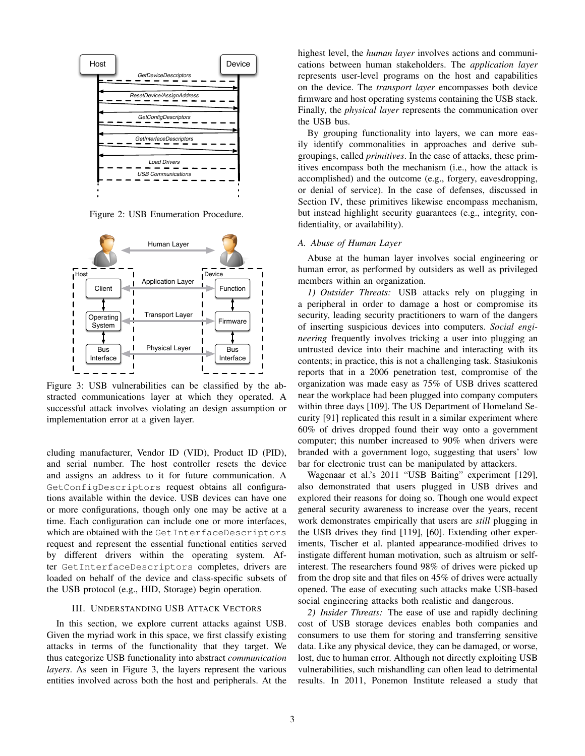<span id="page-2-0"></span>

Figure 2: USB Enumeration Procedure.

<span id="page-2-1"></span>

Figure 3: USB vulnerabilities can be classified by the abstracted communications layer at which they operated. A successful attack involves violating an design assumption or implementation error at a given layer.

cluding manufacturer, Vendor ID (VID), Product ID (PID), and serial number. The host controller resets the device and assigns an address to it for future communication. A GetConfigDescriptors request obtains all configurations available within the device. USB devices can have one or more configurations, though only one may be active at a time. Each configuration can include one or more interfaces, which are obtained with the GetInterfaceDescriptors request and represent the essential functional entities served by different drivers within the operating system. After GetInterfaceDescriptors completes, drivers are loaded on behalf of the device and class-specific subsets of the USB protocol (e.g., HID, Storage) begin operation.

## III. UNDERSTANDING USB ATTACK VECTORS

In this section, we explore current attacks against USB. Given the myriad work in this space, we first classify existing attacks in terms of the functionality that they target. We thus categorize USB functionality into abstract *communication layers*. As seen in Figure [3,](#page-2-1) the layers represent the various entities involved across both the host and peripherals. At the highest level, the *human layer* involves actions and communications between human stakeholders. The *application layer* represents user-level programs on the host and capabilities on the device. The *transport layer* encompasses both device firmware and host operating systems containing the USB stack. Finally, the *physical layer* represents the communication over the USB bus.

By grouping functionality into layers, we can more easily identify commonalities in approaches and derive subgroupings, called *primitives*. In the case of attacks, these primitives encompass both the mechanism (i.e., how the attack is accomplished) and the outcome (e.g., forgery, eavesdropping, or denial of service). In the case of defenses, discussed in Section [IV,](#page-5-0) these primitives likewise encompass mechanism, but instead highlight security guarantees (e.g., integrity, confidentiality, or availability).

#### *A. Abuse of Human Layer*

Abuse at the human layer involves social engineering or human error, as performed by outsiders as well as privileged members within an organization.

*1) Outsider Threats:* USB attacks rely on plugging in a peripheral in order to damage a host or compromise its security, leading security practitioners to warn of the dangers of inserting suspicious devices into computers. *Social engineering* frequently involves tricking a user into plugging an untrusted device into their machine and interacting with its contents; in practice, this is not a challenging task. Stasiukonis reports that in a 2006 penetration test, compromise of the organization was made easy as 75% of USB drives scattered near the workplace had been plugged into company computers within three days [\[109\]](#page-15-8). The US Department of Homeland Security [\[91\]](#page-15-9) replicated this result in a similar experiment where 60% of drives dropped found their way onto a government computer; this number increased to 90% when drivers were branded with a government logo, suggesting that users' low bar for electronic trust can be manipulated by attackers.

Wagenaar et al.'s 2011 "USB Baiting" experiment [\[129\]](#page-15-10), also demonstrated that users plugged in USB drives and explored their reasons for doing so. Though one would expect general security awareness to increase over the years, recent work demonstrates empirically that users are *still* plugging in the USB drives they find [\[119\]](#page-15-11), [\[60\]](#page-14-6). Extending other experiments, Tischer et al. planted appearance-modified drives to instigate different human motivation, such as altruism or selfinterest. The researchers found 98% of drives were picked up from the drop site and that files on 45% of drives were actually opened. The ease of executing such attacks make USB-based social engineering attacks both realistic and dangerous.

*2) Insider Threats:* The ease of use and rapidly declining cost of USB storage devices enables both companies and consumers to use them for storing and transferring sensitive data. Like any physical device, they can be damaged, or worse, lost, due to human error. Although not directly exploiting USB vulnerabilities, such mishandling can often lead to detrimental results. In 2011, Ponemon Institute released a study that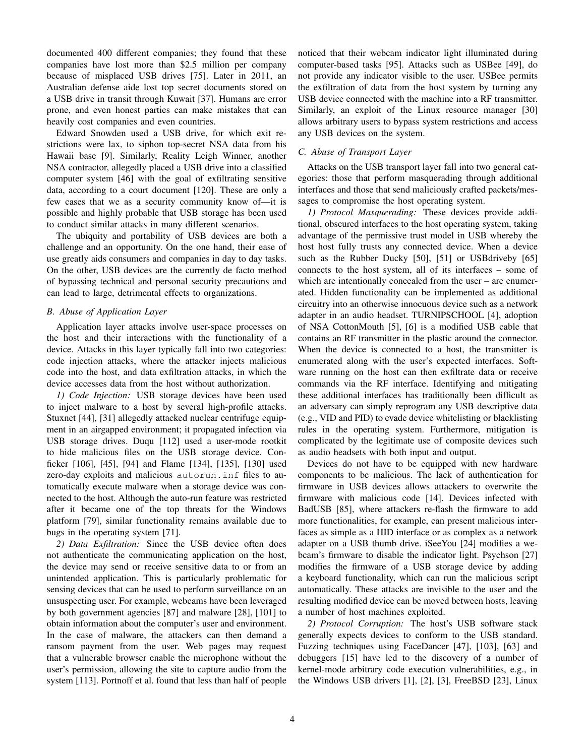documented 400 different companies; they found that these companies have lost more than \$2.5 million per company because of misplaced USB drives [\[75\]](#page-14-7). Later in 2011, an Australian defense aide lost top secret documents stored on a USB drive in transit through Kuwait [\[37\]](#page-14-8). Humans are error prone, and even honest parties can make mistakes that can heavily cost companies and even countries.

Edward Snowden used a USB drive, for which exit restrictions were lax, to siphon top-secret NSA data from his Hawaii base [\[9\]](#page-13-5). Similarly, Reality Leigh Winner, another NSA contractor, allegedly placed a USB drive into a classified computer system [\[46\]](#page-14-9) with the goal of exfiltrating sensitive data, according to a court document [\[120\]](#page-15-12). These are only a few cases that we as a security community know of—it is possible and highly probable that USB storage has been used to conduct similar attacks in many different scenarios.

The ubiquity and portability of USB devices are both a challenge and an opportunity. On the one hand, their ease of use greatly aids consumers and companies in day to day tasks. On the other, USB devices are the currently de facto method of bypassing technical and personal security precautions and can lead to large, detrimental effects to organizations.

## *B. Abuse of Application Layer*

Application layer attacks involve user-space processes on the host and their interactions with the functionality of a device. Attacks in this layer typically fall into two categories: code injection attacks, where the attacker injects malicious code into the host, and data exfiltration attacks, in which the device accesses data from the host without authorization.

*1) Code Injection:* USB storage devices have been used to inject malware to a host by several high-profile attacks. Stuxnet [\[44\]](#page-14-10), [\[31\]](#page-13-6) allegedly attacked nuclear centrifuge equipment in an airgapped environment; it propagated infection via USB storage drives. Duqu [\[112\]](#page-15-13) used a user-mode rootkit to hide malicious files on the USB storage device. Conficker [\[106\]](#page-15-14), [\[45\]](#page-14-11), [\[94\]](#page-15-15) and Flame [\[134\]](#page-15-16), [\[135\]](#page-15-17), [\[130\]](#page-15-18) used zero-day exploits and malicious autorun.inf files to automatically execute malware when a storage device was connected to the host. Although the auto-run feature was restricted after it became one of the top threats for the Windows platform [\[79\]](#page-14-12), similar functionality remains available due to bugs in the operating system [\[71\]](#page-14-13).

*2) Data Exfiltration:* Since the USB device often does not authenticate the communicating application on the host, the device may send or receive sensitive data to or from an unintended application. This is particularly problematic for sensing devices that can be used to perform surveillance on an unsuspecting user. For example, webcams have been leveraged by both government agencies [\[87\]](#page-14-14) and malware [\[28\]](#page-13-7), [\[101\]](#page-15-19) to obtain information about the computer's user and environment. In the case of malware, the attackers can then demand a ransom payment from the user. Web pages may request that a vulnerable browser enable the microphone without the user's permission, allowing the site to capture audio from the system [\[113\]](#page-15-20). Portnoff et al. found that less than half of people noticed that their webcam indicator light illuminated during computer-based tasks [\[95\]](#page-15-21). Attacks such as USBee [\[49\]](#page-14-15), do not provide any indicator visible to the user. USBee permits the exfiltration of data from the host system by turning any USB device connected with the machine into a RF transmitter. Similarly, an exploit of the Linux resource manager [\[30\]](#page-13-8) allows arbitrary users to bypass system restrictions and access any USB devices on the system.

## *C. Abuse of Transport Layer*

Attacks on the USB transport layer fall into two general categories: those that perform masquerading through additional interfaces and those that send maliciously crafted packets/messages to compromise the host operating system.

*1) Protocol Masquerading:* These devices provide additional, obscured interfaces to the host operating system, taking advantage of the permissive trust model in USB whereby the host host fully trusts any connected device. When a device such as the Rubber Ducky [\[50\]](#page-14-16), [\[51\]](#page-14-17) or USBdriveby [\[65\]](#page-14-18) connects to the host system, all of its interfaces – some of which are intentionally concealed from the user – are enumerated. Hidden functionality can be implemented as additional circuitry into an otherwise innocuous device such as a network adapter in an audio headset. TURNIPSCHOOL [\[4\]](#page-13-9), adoption of NSA CottonMouth [\[5\]](#page-13-10), [\[6\]](#page-13-11) is a modified USB cable that contains an RF transmitter in the plastic around the connector. When the device is connected to a host, the transmitter is enumerated along with the user's expected interfaces. Software running on the host can then exfiltrate data or receive commands via the RF interface. Identifying and mitigating these additional interfaces has traditionally been difficult as an adversary can simply reprogram any USB descriptive data (e.g., VID and PID) to evade device whitelisting or blacklisting rules in the operating system. Furthermore, mitigation is complicated by the legitimate use of composite devices such as audio headsets with both input and output.

Devices do not have to be equipped with new hardware components to be malicious. The lack of authentication for firmware in USB devices allows attackers to overwrite the firmware with malicious code [\[14\]](#page-13-12). Devices infected with BadUSB [\[85\]](#page-14-19), where attackers re-flash the firmware to add more functionalities, for example, can present malicious interfaces as simple as a HID interface or as complex as a network adapter on a USB thumb drive. iSeeYou [\[24\]](#page-13-13) modifies a webcam's firmware to disable the indicator light. Psychson [\[27\]](#page-13-14) modifies the firmware of a USB storage device by adding a keyboard functionality, which can run the malicious script automatically. These attacks are invisible to the user and the resulting modified device can be moved between hosts, leaving a number of host machines exploited.

*2) Protocol Corruption:* The host's USB software stack generally expects devices to conform to the USB standard. Fuzzing techniques using FaceDancer [\[47\]](#page-14-20), [\[103\]](#page-15-22), [\[63\]](#page-14-21) and debuggers [\[15\]](#page-13-15) have led to the discovery of a number of kernel-mode arbitrary code execution vulnerabilities, e.g., in the Windows USB drivers [\[1\]](#page-13-16), [\[2\]](#page-13-17), [\[3\]](#page-13-18), FreeBSD [\[23\]](#page-13-19), Linux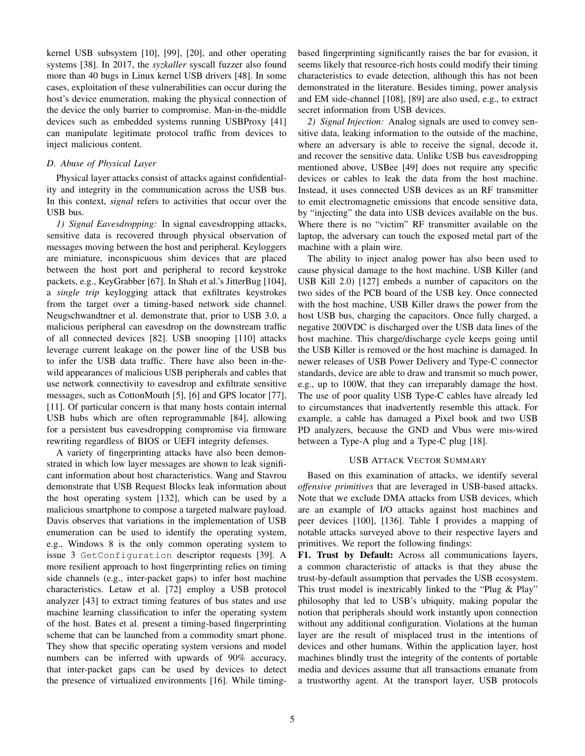kernel USB subsystem [\[10\]](#page-13-20), [\[99\]](#page-15-23), [\[20\]](#page-13-21), and other operating systems [\[38\]](#page-14-22). In 2017, the *syzkaller* syscall fuzzer also found more than 40 bugs in Linux kernel USB drivers [\[48\]](#page-14-23). In some cases, exploitation of these vulnerabilities can occur during the host's device enumeration, making the physical connection of the device the only barrier to compromise. Man-in-the-middle devices such as embedded systems running USBProxy [\[41\]](#page-14-24) can manipulate legitimate protocol traffic from devices to inject malicious content.

## *D. Abuse of Physical Layer*

Physical layer attacks consist of attacks against confidentiality and integrity in the communication across the USB bus. In this context, *signal* refers to activities that occur over the USB bus.

*1) Signal Eavesdropping:* In signal eavesdropping attacks, sensitive data is recovered through physical observation of messages moving between the host and peripheral. Keyloggers are miniature, inconspicuous shim devices that are placed between the host port and peripheral to record keystroke packets, e.g., KeyGrabber [\[67\]](#page-14-25). In Shah et al.'s JitterBug [\[104\]](#page-15-24), a *single trip* keylogging attack that exfiltrates keystrokes from the target over a timing-based network side channel. Neugschwandtner et al. demonstrate that, prior to USB 3.0, a malicious peripheral can eavesdrop on the downstream traffic of all connected devices [\[82\]](#page-14-26). USB snooping [\[110\]](#page-15-25) attacks leverage current leakage on the power line of the USB bus to infer the USB data traffic. There have also been in-thewild appearances of malicious USB peripherals and cables that use network connectivity to eavesdrop and exfiltrate sensitive messages, such as CottonMouth [\[5\]](#page-13-10), [\[6\]](#page-13-11) and GPS locator [\[77\]](#page-14-27), [\[11\]](#page-13-22). Of particular concern is that many hosts contain internal USB hubs which are often reprogrammable [\[84\]](#page-14-28), allowing for a persistent bus eavesdropping compromise via firmware rewriting regardless of BIOS or UEFI integrity defenses.

A variety of fingerprinting attacks have also been demonstrated in which low layer messages are shown to leak significant information about host characteristics. Wang and Stavrou demonstrate that USB Request Blocks leak information about the host operating system [\[132\]](#page-15-26), which can be used by a malicious smartphone to compose a targeted malware payload. Davis observes that variations in the implementation of USB enumeration can be used to identify the operating system, e.g., Windows 8 is the only common operating system to issue 3 GetConfiguration descriptor requests [\[39\]](#page-14-29). A more resilient approach to host fingerprinting relies on timing side channels (e.g., inter-packet gaps) to infer host machine characteristics. Letaw et al. [\[72\]](#page-14-30) employ a USB protocol analyzer [\[43\]](#page-14-31) to extract timing features of bus states and use machine learning classification to infer the operating system of the host. Bates et al. present a timing-based fingerprinting scheme that can be launched from a commodity smart phone. They show that specific operating system versions and model numbers can be inferred with upwards of 90% accuracy, that inter-packet gaps can be used by devices to detect the presence of virtualized environments [\[16\]](#page-13-23). While timingbased fingerprinting significantly raises the bar for evasion, it seems likely that resource-rich hosts could modify their timing characteristics to evade detection, although this has not been demonstrated in the literature. Besides timing, power analysis and EM side-channel [\[108\]](#page-15-27), [\[89\]](#page-14-32) are also used, e.g., to extract secret information from USB devices.

*2) Signal Injection:* Analog signals are used to convey sensitive data, leaking information to the outside of the machine, where an adversary is able to receive the signal, decode it, and recover the sensitive data. Unlike USB bus eavesdropping mentioned above, USBee [\[49\]](#page-14-15) does not require any specific devices or cables to leak the data from the host machine. Instead, it uses connected USB devices as an RF transmitter to emit electromagnetic emissions that encode sensitive data, by "injecting" the data into USB devices available on the bus. Where there is no "victim" RF transmitter available on the laptop, the adversary can touch the exposed metal part of the machine with a plain wire.

The ability to inject analog power has also been used to cause physical damage to the host machine. USB Killer (and USB Kill 2.0) [\[127\]](#page-15-28) embeds a number of capacitors on the two sides of the PCB board of the USB key. Once connected with the host machine, USB Killer draws the power from the host USB bus, charging the capacitors. Once fully charged, a negative 200VDC is discharged over the USB data lines of the host machine. This charge/discharge cycle keeps going until the USB Killer is removed or the host machine is damaged. In newer releases of USB Power Delivery and Type-C connector standards, device are able to draw and transmit so much power, e.g., up to 100W, that they can irreparably damage the host. The use of poor quality USB Type-C cables have already led to circumstances that inadvertently resemble this attack. For example, a cable has damaged a Pixel book and two USB PD analyzers, because the GND and Vbus were mis-wired between a Type-A plug and a Type-C plug [\[18\]](#page-13-4).

#### USB ATTACK VECTOR SUMMARY

Based on this examination of attacks, we identify several *offensive primitives* that are leveraged in USB-based attacks. Note that we exclude DMA attacks from USB devices, which are an example of I/O attacks against host machines and peer devices [\[100\]](#page-15-29), [\[136\]](#page-15-30). Table [I](#page-5-1) provides a mapping of notable attacks surveyed above to their respective layers and primitives. We report the following findings:

F1. Trust by Default: Across all communications layers, a common characteristic of attacks is that they abuse the trust-by-default assumption that pervades the USB ecosystem. This trust model is inextricably linked to the "Plug & Play" philosophy that led to USB's ubiquity, making popular the notion that peripherals should work instantly upon connection without any additional configuration. Violations at the human layer are the result of misplaced trust in the intentions of devices and other humans. Within the application layer, host machines blindly trust the integrity of the contents of portable media and devices assume that all transactions emanate from a trustworthy agent. At the transport layer, USB protocols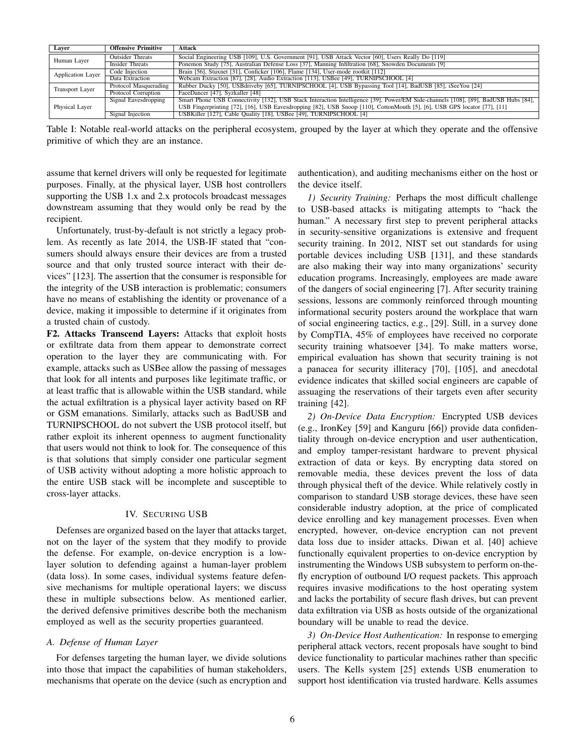<span id="page-5-1"></span>

| Layer                  | <b>Offensive Primitive</b> | Attack                                                                                                                             |
|------------------------|----------------------------|------------------------------------------------------------------------------------------------------------------------------------|
| Human Layer            | <b>Outsider Threats</b>    | Social Engineering USB [109], U.S. Government [91], USB Attack Vector [60], Users Really Do [119]                                  |
|                        | Insider Threats            | Ponemon Study [75], Australian Defense Loss [37], Manning Infiltration [68], Snowden Documents [9]                                 |
| Application Layer      | Code Injection             | Brain [56], Stuxnet [31], Conficker [106], Flame [134], User-mode rootkit [112]                                                    |
|                        | Data Extraction            | Webcam Extraction [87], [28], Audio Extraction [113], USBee [49], TURNIPSCHOOL [4]                                                 |
| <b>Transport Layer</b> | Protocol Masquerading      | Rubber Ducky [50], USBdriveby [65], TURNIPSCHOOL [4], USB Bypassing Tool [14], BadUSB [85], iSeeYou [24]                           |
|                        | <b>Protocol Corruption</b> | FaceDancer [47], Syzkaller [48]                                                                                                    |
| Physical Layer         | Signal Eavesdropping       | Smart Phone USB Connectivity [132], USB Stack Interaction Intelligence [39], Power/EM Side-channels [108], [89], BadUSB Hubs [84], |
|                        |                            | USB Fingerprinting [72], [16], USB Eavesdropping [82], USB Snoop [110], CottonMouth [5], [6], USB GPS locator [77], [11]           |
|                        | Signal Injection           | USBKiller [127], Cable Quality [18], USBee [49], TURNIPSCHOOL [4]                                                                  |

Table I: Notable real-world attacks on the peripheral ecosystem, grouped by the layer at which they operate and the offensive primitive of which they are an instance.

assume that kernel drivers will only be requested for legitimate purposes. Finally, at the physical layer, USB host controllers supporting the USB 1.x and 2.x protocols broadcast messages downstream assuming that they would only be read by the recipient.

Unfortunately, trust-by-default is not strictly a legacy problem. As recently as late 2014, the USB-IF stated that "consumers should always ensure their devices are from a trusted source and that only trusted source interact with their devices" [\[123\]](#page-15-0). The assertion that the consumer is responsible for the integrity of the USB interaction is problematic; consumers have no means of establishing the identity or provenance of a device, making it impossible to determine if it originates from a trusted chain of custody.

F2. Attacks Transcend Layers: Attacks that exploit hosts or exfiltrate data from them appear to demonstrate correct operation to the layer they are communicating with. For example, attacks such as USBee allow the passing of messages that look for all intents and purposes like legitimate traffic, or at least traffic that is allowable within the USB standard, while the actual exfiltration is a physical layer activity based on RF or GSM emanations. Similarly, attacks such as BadUSB and TURNIPSCHOOL do not subvert the USB protocol itself, but rather exploit its inherent openness to augment functionality that users would not think to look for. The consequence of this is that solutions that simply consider one particular segment of USB activity without adopting a more holistic approach to the entire USB stack will be incomplete and susceptible to cross-layer attacks.

# IV. SECURING USB

<span id="page-5-0"></span>Defenses are organized based on the layer that attacks target, not on the layer of the system that they modify to provide the defense. For example, on-device encryption is a lowlayer solution to defending against a human-layer problem (data loss). In some cases, individual systems feature defensive mechanisms for multiple operational layers; we discuss these in multiple subsections below. As mentioned earlier, the derived defensive primitives describe both the mechanism employed as well as the security properties guaranteed.

# *A. Defense of Human Layer*

For defenses targeting the human layer, we divide solutions into those that impact the capabilities of human stakeholders, mechanisms that operate on the device (such as encryption and authentication), and auditing mechanisms either on the host or the device itself.

*1) Security Training:* Perhaps the most difficult challenge to USB-based attacks is mitigating attempts to "hack the human." A necessary first step to prevent peripheral attacks in security-sensitive organizations is extensive and frequent security training. In 2012, NIST set out standards for using portable devices including USB [\[131\]](#page-15-31), and these standards are also making their way into many organizations' security education programs. Increasingly, employees are made aware of the dangers of social engineering [\[7\]](#page-13-24). After security training sessions, lessons are commonly reinforced through mounting informational security posters around the workplace that warn of social engineering tactics, e.g., [\[29\]](#page-13-25). Still, in a survey done by CompTIA, 45% of employees have received no corporate security training whatsoever [\[34\]](#page-14-35). To make matters worse, empirical evaluation has shown that security training is not a panacea for security illiteracy [\[70\]](#page-14-36), [\[105\]](#page-15-32), and anecdotal evidence indicates that skilled social engineers are capable of assuaging the reservations of their targets even after security training [\[42\]](#page-14-37).

*2) On-Device Data Encryption:* Encrypted USB devices (e.g., IronKey [\[59\]](#page-14-38) and Kanguru [\[66\]](#page-14-39)) provide data confidentiality through on-device encryption and user authentication, and employ tamper-resistant hardware to prevent physical extraction of data or keys. By encrypting data stored on removable media, these devices prevent the loss of data through physical theft of the device. While relatively costly in comparison to standard USB storage devices, these have seen considerable industry adoption, at the price of complicated device enrolling and key management processes. Even when encrypted, however, on-device encryption can not prevent data loss due to insider attacks. Diwan et al. [\[40\]](#page-14-40) achieve functionally equivalent properties to on-device encryption by instrumenting the Windows USB subsystem to perform on-thefly encryption of outbound I/O request packets. This approach requires invasive modifications to the host operating system and lacks the portability of secure flash drives, but can prevent data exfiltration via USB as hosts outside of the organizational boundary will be unable to read the device.

*3) On-Device Host Authentication:* In response to emerging peripheral attack vectors, recent proposals have sought to bind device functionality to particular machines rather than specific users. The Kells system [\[25\]](#page-13-26) extends USB enumeration to support host identification via trusted hardware. Kells assumes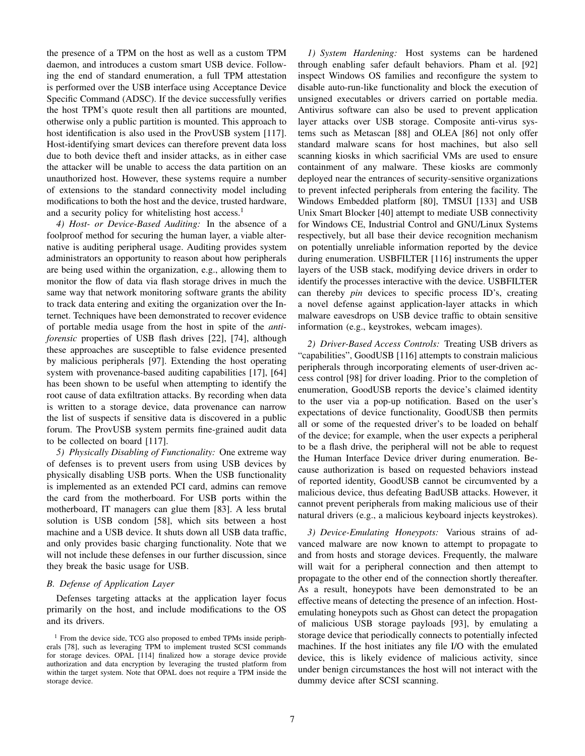the presence of a TPM on the host as well as a custom TPM daemon, and introduces a custom smart USB device. Following the end of standard enumeration, a full TPM attestation is performed over the USB interface using Acceptance Device Specific Command (ADSC). If the device successfully verifies the host TPM's quote result then all partitions are mounted, otherwise only a public partition is mounted. This approach to host identification is also used in the ProvUSB system [\[117\]](#page-15-33). Host-identifying smart devices can therefore prevent data loss due to both device theft and insider attacks, as in either case the attacker will be unable to access the data partition on an unauthorized host. However, these systems require a number of extensions to the standard connectivity model including modifications to both the host and the device, trusted hardware, and a security policy for whitelisting host access.<sup>[1](#page-6-0)</sup>

*4) Host- or Device-Based Auditing:* In the absence of a foolproof method for securing the human layer, a viable alternative is auditing peripheral usage. Auditing provides system administrators an opportunity to reason about how peripherals are being used within the organization, e.g., allowing them to monitor the flow of data via flash storage drives in much the same way that network monitoring software grants the ability to track data entering and exiting the organization over the Internet. Techniques have been demonstrated to recover evidence of portable media usage from the host in spite of the *antiforensic* properties of USB flash drives [\[22\]](#page-13-27), [\[74\]](#page-14-41), although these approaches are susceptible to false evidence presented by malicious peripherals [\[97\]](#page-15-34). Extending the host operating system with provenance-based auditing capabilities [\[17\]](#page-13-28), [\[64\]](#page-14-42) has been shown to be useful when attempting to identify the root cause of data exfiltration attacks. By recording when data is written to a storage device, data provenance can narrow the list of suspects if sensitive data is discovered in a public forum. The ProvUSB system permits fine-grained audit data to be collected on board [\[117\]](#page-15-33).

*5) Physically Disabling of Functionality:* One extreme way of defenses is to prevent users from using USB devices by physically disabling USB ports. When the USB functionality is implemented as an extended PCI card, admins can remove the card from the motherboard. For USB ports within the motherboard, IT managers can glue them [\[83\]](#page-14-43). A less brutal solution is USB condom [\[58\]](#page-14-44), which sits between a host machine and a USB device. It shuts down all USB data traffic, and only provides basic charging functionality. Note that we will not include these defenses in our further discussion, since they break the basic usage for USB.

## *B. Defense of Application Layer*

Defenses targeting attacks at the application layer focus primarily on the host, and include modifications to the OS and its drivers.

*1) System Hardening:* Host systems can be hardened through enabling safer default behaviors. Pham et al. [\[92\]](#page-15-36) inspect Windows OS families and reconfigure the system to disable auto-run-like functionality and block the execution of unsigned executables or drivers carried on portable media. Antivirus software can also be used to prevent application layer attacks over USB storage. Composite anti-virus systems such as Metascan [\[88\]](#page-14-46) and OLEA [\[86\]](#page-14-47) not only offer standard malware scans for host machines, but also sell scanning kiosks in which sacrificial VMs are used to ensure containment of any malware. These kiosks are commonly deployed near the entrances of security-sensitive organizations to prevent infected peripherals from entering the facility. The Windows Embedded platform [\[80\]](#page-14-48), TMSUI [\[133\]](#page-15-37) and USB Unix Smart Blocker [\[40\]](#page-14-40) attempt to mediate USB connectivity for Windows CE, Industrial Control and GNU/Linux Systems respectively, but all base their device recognition mechanism on potentially unreliable information reported by the device during enumeration. USBFILTER [\[116\]](#page-15-38) instruments the upper layers of the USB stack, modifying device drivers in order to identify the processes interactive with the device. USBFILTER can thereby *pin* devices to specific process ID's, creating a novel defense against application-layer attacks in which malware eavesdrops on USB device traffic to obtain sensitive information (e.g., keystrokes, webcam images).

*2) Driver-Based Access Controls:* Treating USB drivers as "capabilities", GoodUSB [\[116\]](#page-15-38) attempts to constrain malicious peripherals through incorporating elements of user-driven access control [\[98\]](#page-15-39) for driver loading. Prior to the completion of enumeration, GoodUSB reports the device's claimed identity to the user via a pop-up notification. Based on the user's expectations of device functionality, GoodUSB then permits all or some of the requested driver's to be loaded on behalf of the device; for example, when the user expects a peripheral to be a flash drive, the peripheral will not be able to request the Human Interface Device driver during enumeration. Because authorization is based on requested behaviors instead of reported identity, GoodUSB cannot be circumvented by a malicious device, thus defeating BadUSB attacks. However, it cannot prevent peripherals from making malicious use of their natural drivers (e.g., a malicious keyboard injects keystrokes).

*3) Device-Emulating Honeypots:* Various strains of advanced malware are now known to attempt to propagate to and from hosts and storage devices. Frequently, the malware will wait for a peripheral connection and then attempt to propagate to the other end of the connection shortly thereafter. As a result, honeypots have been demonstrated to be an effective means of detecting the presence of an infection. Hostemulating honeypots such as Ghost can detect the propagation of malicious USB storage payloads [\[93\]](#page-15-40), by emulating a storage device that periodically connects to potentially infected machines. If the host initiates any file I/O with the emulated device, this is likely evidence of malicious activity, since under benign circumstances the host will not interact with the dummy device after SCSI scanning.

<span id="page-6-0"></span><sup>&</sup>lt;sup>1</sup> From the device side, TCG also proposed to embed TPMs inside peripherals [\[78\]](#page-14-45), such as leveraging TPM to implement trusted SCSI commands for storage devices. OPAL [\[114\]](#page-15-35) finalized how a storage device provide authorization and data encryption by leveraging the trusted platform from within the target system. Note that OPAL does not require a TPM inside the storage device.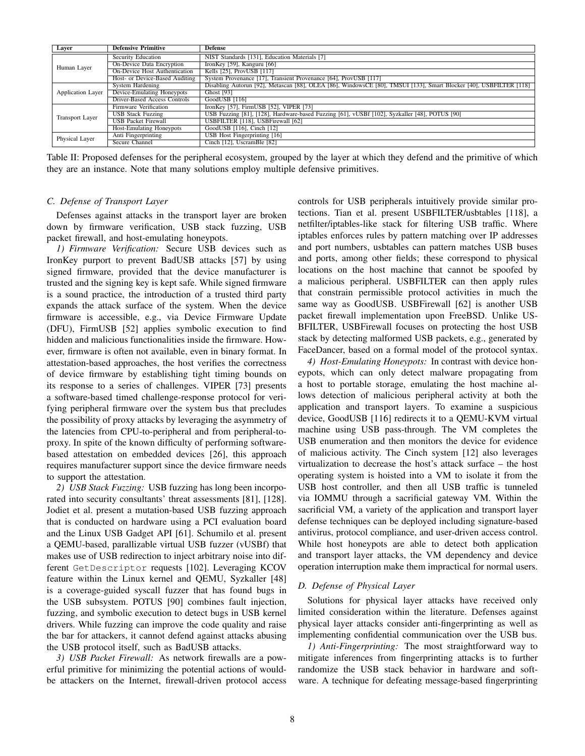<span id="page-7-0"></span>

| Laver             | <b>Defensive Primitive</b>      | <b>Defense</b>                                                                                                     |
|-------------------|---------------------------------|--------------------------------------------------------------------------------------------------------------------|
| Human Layer       | <b>Security Education</b>       | NIST Standards [131], Education Materials [7]                                                                      |
|                   | On-Device Data Encryption       | IronKey [59], Kanguru [66]                                                                                         |
|                   | On-Device Host Authentication   | Kells [25], ProvUSB [117]                                                                                          |
|                   | Host- or Device-Based Auditing  | System Provenance [17], Transient Provenance [64], ProvUSB [117]                                                   |
| Application Layer | <b>System Hardening</b>         | Disabling Autorun [92], Metascan [88], OLEA [86], WindowsCE [80], TMSUI [133], Smart Blocker [40], USBFILTER [118] |
|                   | Device-Emulating Honeypots      | <b>Ghost</b> [93]                                                                                                  |
|                   | Driver-Based Access Controls    | GoodUSB [116]                                                                                                      |
| Transport Layer   | Firmware Verification           | IronKey [57], FirmUSB [52], VIPER [73]                                                                             |
|                   | <b>USB Stack Fuzzing</b>        | USB Fuzzing [81], [128], Hardware-based Fuzzing [61], vUSBf [102], Syzkaller [48], POTUS [90]                      |
|                   | <b>USB</b> Packet Firewall      | USBFILTER [118], USBFirewall [62]                                                                                  |
|                   | <b>Host-Emulating Honeypots</b> | GoodUSB [116], Cinch [12]                                                                                          |
| Physical Layer    | Anti Fingerprinting             | USB Host Fingerprinting [16]                                                                                       |
|                   | Secure Channel                  | Cinch [12], UscramBle [82]                                                                                         |

Table II: Proposed defenses for the peripheral ecosystem, grouped by the layer at which they defend and the primitive of which they are an instance. Note that many solutions employ multiple defensive primitives.

## *C. Defense of Transport Layer*

Defenses against attacks in the transport layer are broken down by firmware verification, USB stack fuzzing, USB packet firewall, and host-emulating honeypots.

*1) Firmware Verification:* Secure USB devices such as IronKey purport to prevent BadUSB attacks [\[57\]](#page-14-49) by using signed firmware, provided that the device manufacturer is trusted and the signing key is kept safe. While signed firmware is a sound practice, the introduction of a trusted third party expands the attack surface of the system. When the device firmware is accessible, e.g., via Device Firmware Update (DFU), FirmUSB [\[52\]](#page-14-50) applies symbolic execution to find hidden and malicious functionalities inside the firmware. However, firmware is often not available, even in binary format. In attestation-based approaches, the host verifies the correctness of device firmware by establishing tight timing bounds on its response to a series of challenges. VIPER [\[73\]](#page-14-51) presents a software-based timed challenge-response protocol for verifying peripheral firmware over the system bus that precludes the possibility of proxy attacks by leveraging the asymmetry of the latencies from CPU-to-peripheral and from peripheral-toproxy. In spite of the known difficulty of performing softwarebased attestation on embedded devices [\[26\]](#page-13-30), this approach requires manufacturer support since the device firmware needs to support the attestation.

*2) USB Stack Fuzzing:* USB fuzzing has long been incorporated into security consultants' threat assessments [\[81\]](#page-14-52), [\[128\]](#page-15-42). Jodiet et al. present a mutation-based USB fuzzing approach that is conducted on hardware using a PCI evaluation board and the Linux USB Gadget API [\[61\]](#page-14-53). Schumilo et al. present a QEMU-based, parallizable virtual USB fuzzer (vUSBf) that makes use of USB redirection to inject arbitrary noise into different GetDescriptor requests [\[102\]](#page-15-43). Leveraging KCOV feature within the Linux kernel and QEMU, Syzkaller [\[48\]](#page-14-23) is a coverage-guided syscall fuzzer that has found bugs in the USB subsystem. POTUS [\[90\]](#page-15-44) combines fault injection, fuzzing, and symbolic execution to detect bugs in USB kernel drivers. While fuzzing can improve the code quality and raise the bar for attackers, it cannot defend against attacks abusing the USB protocol itself, such as BadUSB attacks.

*3) USB Packet Firewall:* As network firewalls are a powerful primitive for minimizing the potential actions of wouldbe attackers on the Internet, firewall-driven protocol access controls for USB peripherals intuitively provide similar protections. Tian et al. present USBFILTER/usbtables [\[118\]](#page-15-41), a netfilter/iptables-like stack for filtering USB traffic. Where iptables enforces rules by pattern matching over IP addresses and port numbers, usbtables can pattern matches USB buses and ports, among other fields; these correspond to physical locations on the host machine that cannot be spoofed by a malicious peripheral. USBFILTER can then apply rules that constrain permissible protocol activities in much the same way as GoodUSB. USBFirewall [\[62\]](#page-14-54) is another USB packet firewall implementation upon FreeBSD. Unlike US-BFILTER, USBFirewall focuses on protecting the host USB stack by detecting malformed USB packets, e.g., generated by FaceDancer, based on a formal model of the protocol syntax.

*4) Host-Emulating Honeypots:* In contrast with device honeypots, which can only detect malware propagating from a host to portable storage, emulating the host machine allows detection of malicious peripheral activity at both the application and transport layers. To examine a suspicious device, GoodUSB [\[116\]](#page-15-38) redirects it to a QEMU-KVM virtual machine using USB pass-through. The VM completes the USB enumeration and then monitors the device for evidence of malicious activity. The Cinch system [\[12\]](#page-13-29) also leverages virtualization to decrease the host's attack surface – the host operating system is hoisted into a VM to isolate it from the USB host controller, and then all USB traffic is tunneled via IOMMU through a sacrificial gateway VM. Within the sacrificial VM, a variety of the application and transport layer defense techniques can be deployed including signature-based antivirus, protocol compliance, and user-driven access control. While host honeypots are able to detect both application and transport layer attacks, the VM dependency and device operation interruption make them impractical for normal users.

## *D. Defense of Physical Layer*

Solutions for physical layer attacks have received only limited consideration within the literature. Defenses against physical layer attacks consider anti-fingerprinting as well as implementing confidential communication over the USB bus.

*1) Anti-Fingerprinting:* The most straightforward way to mitigate inferences from fingerprinting attacks is to further randomize the USB stack behavior in hardware and software. A technique for defeating message-based fingerprinting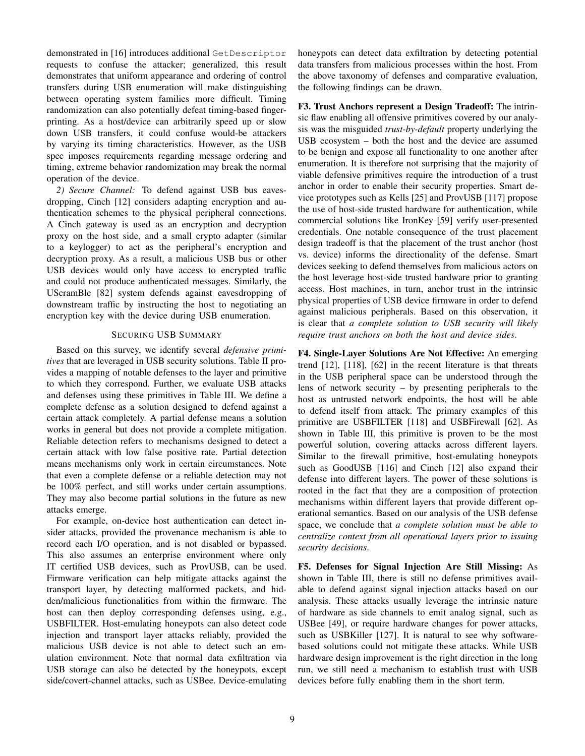demonstrated in [\[16\]](#page-13-23) introduces additional GetDescriptor requests to confuse the attacker; generalized, this result demonstrates that uniform appearance and ordering of control transfers during USB enumeration will make distinguishing between operating system families more difficult. Timing randomization can also potentially defeat timing-based fingerprinting. As a host/device can arbitrarily speed up or slow down USB transfers, it could confuse would-be attackers by varying its timing characteristics. However, as the USB spec imposes requirements regarding message ordering and timing, extreme behavior randomization may break the normal operation of the device.

*2) Secure Channel:* To defend against USB bus eavesdropping, Cinch [\[12\]](#page-13-29) considers adapting encryption and authentication schemes to the physical peripheral connections. A Cinch gateway is used as an encryption and decryption proxy on the host side, and a small crypto adapter (similar to a keylogger) to act as the peripheral's encryption and decryption proxy. As a result, a malicious USB bus or other USB devices would only have access to encrypted traffic and could not produce authenticated messages. Similarly, the UScramBle [\[82\]](#page-14-26) system defends against eavesdropping of downstream traffic by instructing the host to negotiating an encryption key with the device during USB enumeration.

## SECURING USB SUMMARY

Based on this survey, we identify several *defensive primitives* that are leveraged in USB security solutions. Table [II](#page-7-0) provides a mapping of notable defenses to the layer and primitive to which they correspond. Further, we evaluate USB attacks and defenses using these primitives in [Table III.](#page-9-0) We define a complete defense as a solution designed to defend against a certain attack completely. A partial defense means a solution works in general but does not provide a complete mitigation. Reliable detection refers to mechanisms designed to detect a certain attack with low false positive rate. Partial detection means mechanisms only work in certain circumstances. Note that even a complete defense or a reliable detection may not be 100% perfect, and still works under certain assumptions. They may also become partial solutions in the future as new attacks emerge.

For example, on-device host authentication can detect insider attacks, provided the provenance mechanism is able to record each I/O operation, and is not disabled or bypassed. This also assumes an enterprise environment where only IT certified USB devices, such as ProvUSB, can be used. Firmware verification can help mitigate attacks against the transport layer, by detecting malformed packets, and hidden/malicious functionalities from within the firmware. The host can then deploy corresponding defenses using, e.g., USBFILTER. Host-emulating honeypots can also detect code injection and transport layer attacks reliably, provided the malicious USB device is not able to detect such an emulation environment. Note that normal data exfiltration via USB storage can also be detected by the honeypots, except side/covert-channel attacks, such as USBee. Device-emulating honeypots can detect data exfiltration by detecting potential data transfers from malicious processes within the host. From the above taxonomy of defenses and comparative evaluation, the following findings can be drawn.

F3. Trust Anchors represent a Design Tradeoff: The intrinsic flaw enabling all offensive primitives covered by our analysis was the misguided *trust-by-default* property underlying the USB ecosystem – both the host and the device are assumed to be benign and expose all functionality to one another after enumeration. It is therefore not surprising that the majority of viable defensive primitives require the introduction of a trust anchor in order to enable their security properties. Smart device prototypes such as Kells [\[25\]](#page-13-26) and ProvUSB [\[117\]](#page-15-33) propose the use of host-side trusted hardware for authentication, while commercial solutions like IronKey [\[59\]](#page-14-38) verify user-presented credentials. One notable consequence of the trust placement design tradeoff is that the placement of the trust anchor (host vs. device) informs the directionality of the defense. Smart devices seeking to defend themselves from malicious actors on the host leverage host-side trusted hardware prior to granting access. Host machines, in turn, anchor trust in the intrinsic physical properties of USB device firmware in order to defend against malicious peripherals. Based on this observation, it is clear that *a complete solution to USB security will likely require trust anchors on both the host and device sides*.

F4. Single-Layer Solutions Are Not Effective: An emerging trend [\[12\]](#page-13-29), [\[118\]](#page-15-41), [\[62\]](#page-14-54) in the recent literature is that threats in the USB peripheral space can be understood through the lens of network security – by presenting peripherals to the host as untrusted network endpoints, the host will be able to defend itself from attack. The primary examples of this primitive are USBFILTER [\[118\]](#page-15-41) and USBFirewall [\[62\]](#page-14-54). As shown in Table [III,](#page-9-0) this primitive is proven to be the most powerful solution, covering attacks across different layers. Similar to the firewall primitive, host-emulating honeypots such as GoodUSB [\[116\]](#page-15-38) and Cinch [\[12\]](#page-13-29) also expand their defense into different layers. The power of these solutions is rooted in the fact that they are a composition of protection mechanisms within different layers that provide different operational semantics. Based on our analysis of the USB defense space, we conclude that *a complete solution must be able to centralize context from all operational layers prior to issuing security decisions*.

F5. Defenses for Signal Injection Are Still Missing: As shown in Table [III,](#page-9-0) there is still no defense primitives available to defend against signal injection attacks based on our analysis. These attacks usually leverage the intrinsic nature of hardware as side channels to emit analog signal, such as USBee [\[49\]](#page-14-15), or require hardware changes for power attacks, such as USBKiller [\[127\]](#page-15-28). It is natural to see why softwarebased solutions could not mitigate these attacks. While USB hardware design improvement is the right direction in the long run, we still need a mechanism to establish trust with USB devices before fully enabling them in the short term.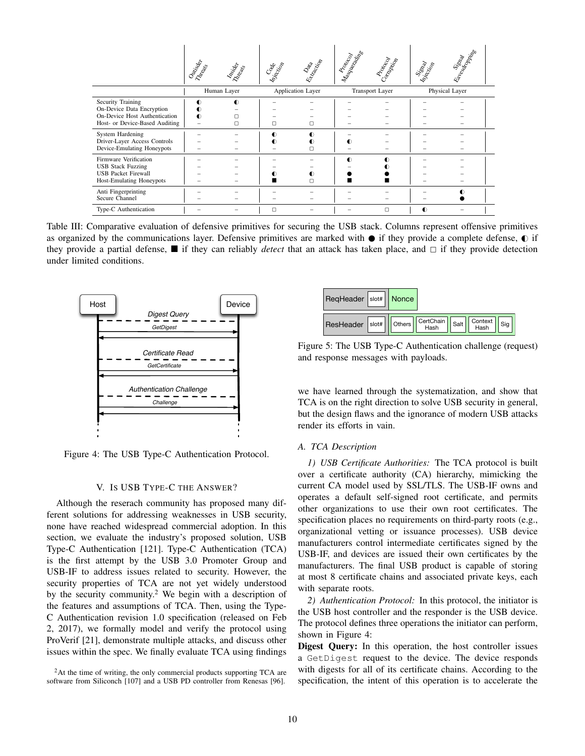<span id="page-9-0"></span>

|                                                                                                                   | Osbiclady<br>Taleada | <b>Insiger</b>      | Injegion<br>Cae | Elizagean                        | Mason Banks<br>Riotecor | Recorded Bridge        | Sienald   | Eave Strand<br>Pescapan |
|-------------------------------------------------------------------------------------------------------------------|----------------------|---------------------|-----------------|----------------------------------|-------------------------|------------------------|-----------|-------------------------|
|                                                                                                                   |                      | Human Layer         |                 | Application Layer                |                         | <b>Transport Layer</b> |           | Physical Layer          |
| Security Training<br>On-Device Data Encryption<br>On-Device Host Authentication<br>Host- or Device-Based Auditing |                      | $\bullet$<br>п<br>□ | □               | $\Box$                           |                         |                        |           |                         |
| <b>System Hardening</b><br>Driver-Layer Access Controls<br>Device-Emulating Honeypots                             |                      |                     | ◐<br>◐          | $\bullet$<br>$\bullet$<br>$\Box$ |                         |                        |           |                         |
| Firmware Verification<br><b>USB Stack Fuzzing</b><br><b>USB</b> Packet Firewall<br>Host-Emulating Honeypots       |                      |                     |                 | $\bullet$<br>$\Box$              | $\bullet$               | $\bullet$              |           |                         |
| Anti Fingerprinting<br>Secure Channel                                                                             |                      |                     |                 |                                  |                         |                        |           | $\bullet$               |
| Type-C Authentication                                                                                             |                      |                     | $\Box$          |                                  |                         | $\Box$                 | $\bullet$ |                         |

Table III: Comparative evaluation of defensive primitives for securing the USB stack. Columns represent offensive primitives as organized by the communications layer. Defensive primitives are marked with  $\bullet$  if they provide a complete defense,  $\bullet$  if they provide a partial defense,  $\blacksquare$  if they can reliably *detect* that an attack has taken place, and  $\Box$  if they provide detection under limited conditions.



Figure 4: The USB Type-C Authentication Protocol.

## V. IS USB TYPE-C THE ANSWER?

<span id="page-9-2"></span>Although the reserach community has proposed many different solutions for addressing weaknesses in USB security, none have reached widespread commercial adoption. In this section, we evaluate the industry's proposed solution, USB Type-C Authentication [\[121\]](#page-15-3). Type-C Authentication (TCA) is the first attempt by the USB 3.0 Promoter Group and USB-IF to address issues related to security. However, the security properties of TCA are not yet widely understood by the security community.<sup>[2](#page-9-1)</sup> We begin with a description of the features and assumptions of TCA. Then, using the Type-C Authentication revision 1.0 specification (released on Feb 2, 2017), we formally model and verify the protocol using ProVerif [\[21\]](#page-13-31), demonstrate multiple attacks, and discuss other issues within the spec. We finally evaluate TCA using findings Heat  $\frac{1}{\sqrt{1000}}$   $\frac{1}{\sqrt{1000}}$   $\frac{1}{\sqrt{1000}}$  ( $\frac{1}{\sqrt{100}}$ )  $\frac{1}{\sqrt{100}}$  ( $\frac{1}{\sqrt{100}}$ ) ( $\frac{1}{\sqrt{100}}$ ) ( $\frac{1}{\sqrt{100}}$ ) ( $\frac{1}{\sqrt{100}}$ ) ( $\frac{1}{\sqrt{100}}$ ) ( $\frac{1}{\sqrt{100}}$ ) ( $\frac{1}{\sqrt{100}}$ ) ( $\frac{1}{\sqrt{100}}$ )

<span id="page-9-3"></span>

Figure 5: The USB Type-C Authentication challenge (request) and response messages with payloads.

we have learned through the systematization, and show that TCA is on the right direction to solve USB security in general, but the design flaws and the ignorance of modern USB attacks render its efforts in vain.

#### *A. TCA Description*

*1) USB Certificate Authorities:* The TCA protocol is built over a certificate authority (CA) hierarchy, mimicking the current CA model used by SSL/TLS. The USB-IF owns and operates a default self-signed root certificate, and permits other organizations to use their own root certificates. The specification places no requirements on third-party roots (e.g., organizational vetting or issuance processes). USB device manufacturers control intermediate certificates signed by the USB-IF, and devices are issued their own certificates by the manufacturers. The final USB product is capable of storing at most 8 certificate chains and associated private keys, each with separate roots.

*2) Authentication Protocol:* In this protocol, the initiator is the USB host controller and the responder is the USB device. The protocol defines three operations the initiator can perform, shown in Figure [4:](#page-9-2)

Digest Query: In this operation, the host controller issues a GetDigest request to the device. The device responds with digests for all of its certificate chains. According to the specification, the intent of this operation is to accelerate the

<span id="page-9-1"></span> $2$ At the time of writing, the only commercial products supporting TCA are software from Siliconch [107] and a USB PD controller from Renesas [96].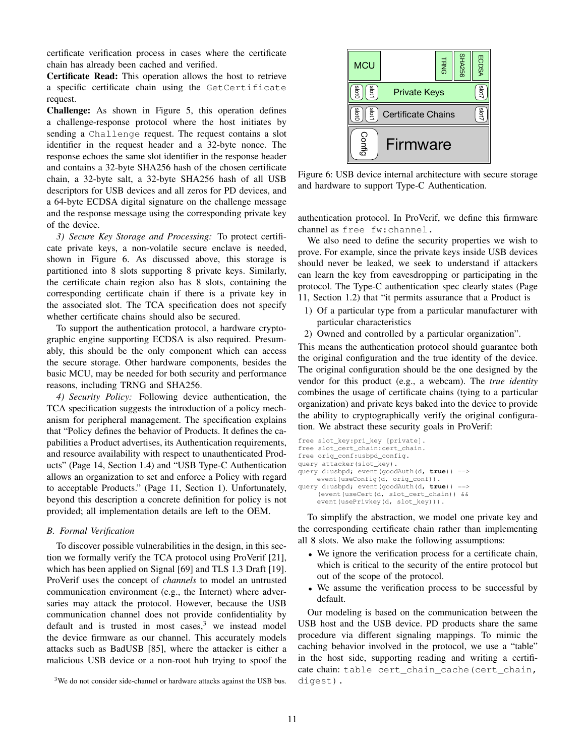certificate verification process in cases where the certificate chain has already been cached and verified.

Certificate Read: This operation allows the host to retrieve a specific certificate chain using the GetCertificate request.

Challenge: As shown in Figure [5,](#page-9-3) this operation defines a challenge-response protocol where the host initiates by sending a Challenge request. The request contains a slot identifier in the request header and a 32-byte nonce. The response echoes the same slot identifier in the response header and contains a 32-byte SHA256 hash of the chosen certificate chain, a 32-byte salt, a 32-byte SHA256 hash of all USB descriptors for USB devices and all zeros for PD devices, and a 64-byte ECDSA digital signature on the challenge message and the response message using the corresponding private key of the device.

*3) Secure Key Storage and Processing:* To protect certificate private keys, a non-volatile secure enclave is needed, shown in Figure [6.](#page-10-0) As discussed above, this storage is partitioned into 8 slots supporting 8 private keys. Similarly, the certificate chain region also has 8 slots, containing the corresponding certificate chain if there is a private key in the associated slot. The TCA specification does not specify whether certificate chains should also be secured.

To support the authentication protocol, a hardware cryptographic engine supporting ECDSA is also required. Presumably, this should be the only component which can access the secure storage. Other hardware components, besides the basic MCU, may be needed for both security and performance reasons, including TRNG and SHA256.

*4) Security Policy:* Following device authentication, the TCA specification suggests the introduction of a policy mechanism for peripheral management. The specification explains that "Policy defines the behavior of Products. It defines the capabilities a Product advertises, its Authentication requirements, and resource availability with respect to unauthenticated Products" (Page 14, Section 1.4) and "USB Type-C Authentication allows an organization to set and enforce a Policy with regard to acceptable Products." (Page 11, Section 1). Unfortunately, beyond this description a concrete definition for policy is not provided; all implementation details are left to the OEM.

## *B. Formal Verification*

To discover possible vulnerabilities in the design, in this section we formally verify the TCA protocol using ProVerif [\[21\]](#page-13-31), which has been applied on Signal [\[69\]](#page-14-55) and TLS 1.3 Draft [\[19\]](#page-13-32). ProVerif uses the concept of *channels* to model an untrusted communication environment (e.g., the Internet) where adversaries may attack the protocol. However, because the USB communication channel does not provide confidentiality by default and is trusted in most cases, $3$  we instead model the device firmware as our channel. This accurately models attacks such as BadUSB [\[85\]](#page-14-19), where the attacker is either a malicious USB device or a non-root hub trying to spoof the

<span id="page-10-1"></span><sup>3</sup>We do not consider side-channel or hardware attacks against the USB bus.

<span id="page-10-0"></span>

Figure 6: USB device internal architecture with secure storage and hardware to support Type-C Authentication.

authentication protocol. In ProVerif, we define this firmware channel as free fw:channel.

We also need to define the security properties we wish to prove. For example, since the private keys inside USB devices should never be leaked, we seek to understand if attackers can learn the key from eavesdropping or participating in the protocol. The Type-C authentication spec clearly states (Page 11, Section 1.2) that "it permits assurance that a Product is

- 1) Of a particular type from a particular manufacturer with particular characteristics
- 2) Owned and controlled by a particular organization".

This means the authentication protocol should guarantee both the original configuration and the true identity of the device. The original configuration should be the one designed by the vendor for this product (e.g., a webcam). The *true identity* combines the usage of certificate chains (tying to a particular organization) and private keys baked into the device to provide the ability to cryptographically verify the original configuration. We abstract these security goals in ProVerif:

```
free slot_key:pri_key [private].
free slot_cert_chain:cert_chain.
free orig_conf:usbpd_config.
query attacker(slot_key).
query d:usbpd; event(goodAuth(d, true)) ==>
    event(useConfig(d, orig_conf)).
query d:usbpd; event(goodAuth(d, true)) ==>
    (event(useCert(d, slot_cert_chain)) &&
    event(usePrivkey(d, slot key))).
```
To simplify the abstraction, we model one private key and the corresponding certificate chain rather than implementing all 8 slots. We also make the following assumptions:

- We ignore the verification process for a certificate chain, which is critical to the security of the entire protocol but out of the scope of the protocol.
- We assume the verification process to be successful by default.

Our modeling is based on the communication between the USB host and the USB device. PD products share the same procedure via different signaling mappings. To mimic the caching behavior involved in the protocol, we use a "table" in the host side, supporting reading and writing a certificate chain: table cert\_chain\_cache(cert\_chain, digest).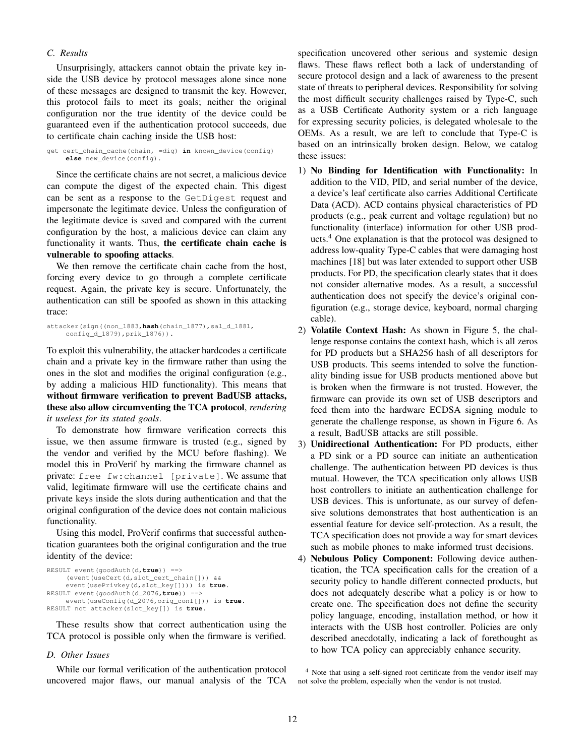## *C. Results*

Unsurprisingly, attackers cannot obtain the private key inside the USB device by protocol messages alone since none of these messages are designed to transmit the key. However, this protocol fails to meet its goals; neither the original configuration nor the true identity of the device could be guaranteed even if the authentication protocol succeeds, due to certificate chain caching inside the USB host:

```
get cert_chain_cache(chain, =dig) in known_device(config)
    else new_device(config).
```
Since the certificate chains are not secret, a malicious device can compute the digest of the expected chain. This digest can be sent as a response to the GetDigest request and impersonate the legitimate device. Unless the configuration of the legitimate device is saved and compared with the current configuration by the host, a malicious device can claim any functionality it wants. Thus, the certificate chain cache is vulnerable to spoofing attacks.

We then remove the certificate chain cache from the host, forcing every device to go through a complete certificate request. Again, the private key is secure. Unfortunately, the authentication can still be spoofed as shown in this attacking trace:

```
attacker(sign((non_1883,hash(chain_1877),sal_d_1881,
     config d 1879), prik 1876)).
```
To exploit this vulnerability, the attacker hardcodes a certificate chain and a private key in the firmware rather than using the ones in the slot and modifies the original configuration (e.g., by adding a malicious HID functionality). This means that without firmware verification to prevent BadUSB attacks, these also allow circumventing the TCA protocol, *rendering it useless for its stated goals*.

To demonstrate how firmware verification corrects this issue, we then assume firmware is trusted (e.g., signed by the vendor and verified by the MCU before flashing). We model this in ProVerif by marking the firmware channel as private: free fw:channel [private]. We assume that valid, legitimate firmware will use the certificate chains and private keys inside the slots during authentication and that the original configuration of the device does not contain malicious functionality.

Using this model, ProVerif confirms that successful authentication guarantees both the original configuration and the true identity of the device:

```
RESULT event(goodAuth(d,true)) ==>
    (event(useCert(d,slot_cert_chain[])) &&
    event(usePrivkey(d,slot_key[]))) is true.
RESULT event(goodAuth(d_2076,true)) ==>
    event(useConfig(d_2076,orig_conf[])) is true.
RESULT not attacker(slot_key[]) is true.
```
These results show that correct authentication using the TCA protocol is possible only when the firmware is verified.

## *D. Other Issues*

While our formal verification of the authentication protocol uncovered major flaws, our manual analysis of the TCA

specification uncovered other serious and systemic design flaws. These flaws reflect both a lack of understanding of secure protocol design and a lack of awareness to the present state of threats to peripheral devices. Responsibility for solving the most difficult security challenges raised by Type-C, such as a USB Certificate Authority system or a rich language for expressing security policies, is delegated wholesale to the OEMs. As a result, we are left to conclude that Type-C is based on an intrinsically broken design. Below, we catalog these issues:

- 1) No Binding for Identification with Functionality: In addition to the VID, PID, and serial number of the device, a device's leaf certificate also carries Additional Certificate Data (ACD). ACD contains physical characteristics of PD products (e.g., peak current and voltage regulation) but no functionality (interface) information for other USB products.[4](#page-11-0) One explanation is that the protocol was designed to address low-quality Type-C cables that were damaging host machines [\[18\]](#page-13-4) but was later extended to support other USB products. For PD, the specification clearly states that it does not consider alternative modes. As a result, a successful authentication does not specify the device's original configuration (e.g., storage device, keyboard, normal charging cable).
- 2) Volatile Context Hash: As shown in [Figure 5,](#page-9-3) the challenge response contains the context hash, which is all zeros for PD products but a SHA256 hash of all descriptors for USB products. This seems intended to solve the functionality binding issue for USB products mentioned above but is broken when the firmware is not trusted. However, the firmware can provide its own set of USB descriptors and feed them into the hardware ECDSA signing module to generate the challenge response, as shown in [Figure 6.](#page-10-0) As a result, BadUSB attacks are still possible.
- 3) Unidirectional Authentication: For PD products, either a PD sink or a PD source can initiate an authentication challenge. The authentication between PD devices is thus mutual. However, the TCA specification only allows USB host controllers to initiate an authentication challenge for USB devices. This is unfortunate, as our survey of defensive solutions demonstrates that host authentication is an essential feature for device self-protection. As a result, the TCA specification does not provide a way for smart devices such as mobile phones to make informed trust decisions.
- 4) Nebulous Policy Component: Following device authentication, the TCA specification calls for the creation of a security policy to handle different connected products, but does not adequately describe what a policy is or how to create one. The specification does not define the security policy language, encoding, installation method, or how it interacts with the USB host controller. Policies are only described anecdotally, indicating a lack of forethought as to how TCA policy can appreciably enhance security.

<span id="page-11-0"></span><sup>4</sup> Note that using a self-signed root certificate from the vendor itself may not solve the problem, especially when the vendor is not trusted.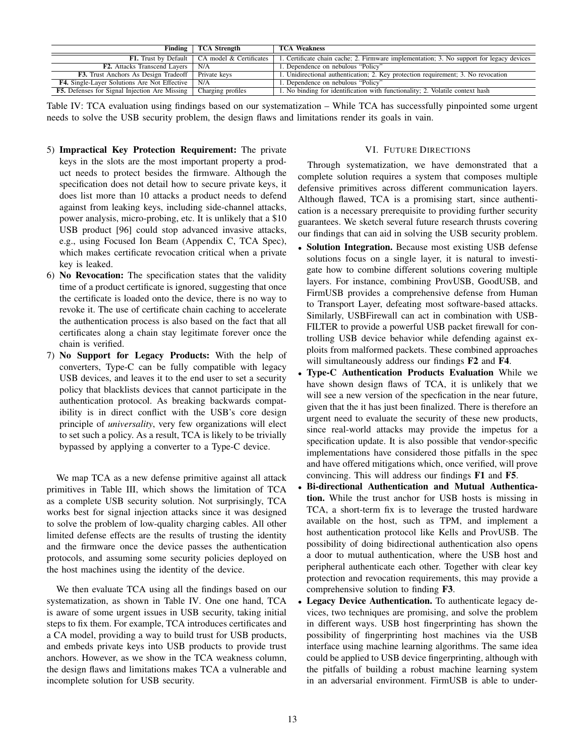<span id="page-12-0"></span>

|                                                      | Finding   TCA Strength                                | <b>TCA Weakness</b>                                                                      |
|------------------------------------------------------|-------------------------------------------------------|------------------------------------------------------------------------------------------|
|                                                      | <b>F1.</b> Trust by Default   CA model & Certificates | 1. Certificate chain cache; 2. Firmware implementation; 3. No support for legacy devices |
| <b>F2.</b> Attacks Transcend Layers                  | N/A                                                   | 1. Dependence on nebulous "Policy"                                                       |
| <b>F3.</b> Trust Anchors As Design Tradeoff          | Private keys                                          | 1. Unidirectional authentication; 2. Key protection requirement; 3. No revocation        |
| <b>F4.</b> Single-Layer Solutions Are Not Effective  | N/A                                                   | 1. Dependence on nebulous "Policy"                                                       |
| <b>F5.</b> Defenses for Signal Injection Are Missing | Charging profiles                                     | 1. No binding for identification with functionality; 2. Volatile context hash            |

Table IV: TCA evaluation using findings based on our systematization – While TCA has successfully pinpointed some urgent needs to solve the USB security problem, the design flaws and limitations render its goals in vain.

- 5) Impractical Key Protection Requirement: The private keys in the slots are the most important property a product needs to protect besides the firmware. Although the specification does not detail how to secure private keys, it does list more than 10 attacks a product needs to defend against from leaking keys, including side-channel attacks, power analysis, micro-probing, etc. It is unlikely that a \$10 USB product [\[96\]](#page-15-46) could stop advanced invasive attacks, e.g., using Focused Ion Beam (Appendix C, TCA Spec), which makes certificate revocation critical when a private key is leaked.
- 6) No Revocation: The specification states that the validity time of a product certificate is ignored, suggesting that once the certificate is loaded onto the device, there is no way to revoke it. The use of certificate chain caching to accelerate the authentication process is also based on the fact that all certificates along a chain stay legitimate forever once the chain is verified.
- 7) No Support for Legacy Products: With the help of converters, Type-C can be fully compatible with legacy USB devices, and leaves it to the end user to set a security policy that blacklists devices that cannot participate in the authentication protocol. As breaking backwards compatibility is in direct conflict with the USB's core design principle of *universality*, very few organizations will elect to set such a policy. As a result, TCA is likely to be trivially bypassed by applying a converter to a Type-C device.

We map TCA as a new defense primitive against all attack primitives in Table [III,](#page-9-0) which shows the limitation of TCA as a complete USB security solution. Not surprisingly, TCA works best for signal injection attacks since it was designed to solve the problem of low-quality charging cables. All other limited defense effects are the results of trusting the identity and the firmware once the device passes the authentication protocols, and assuming some security policies deployed on the host machines using the identity of the device.

We then evaluate TCA using all the findings based on our systematization, as shown in Table [IV.](#page-12-0) One one hand, TCA is aware of some urgent issues in USB security, taking initial steps to fix them. For example, TCA introduces certificates and a CA model, providing a way to build trust for USB products, and embeds private keys into USB products to provide trust anchors. However, as we show in the TCA weakness column, the design flaws and limitations makes TCA a vulnerable and incomplete solution for USB security.

# VI. FUTURE DIRECTIONS

Through systematization, we have demonstrated that a complete solution requires a system that composes multiple defensive primitives across different communication layers. Although flawed, TCA is a promising start, since authentication is a necessary prerequisite to providing further security guarantees. We sketch several future research thrusts covering our findings that can aid in solving the USB security problem.

- Solution Integration. Because most existing USB defense solutions focus on a single layer, it is natural to investigate how to combine different solutions covering multiple layers. For instance, combining ProvUSB, GoodUSB, and FirmUSB provides a comprehensive defense from Human to Transport Layer, defeating most software-based attacks. Similarly, USBFirewall can act in combination with USB-FILTER to provide a powerful USB packet firewall for controlling USB device behavior while defending against exploits from malformed packets. These combined approaches will simultaneously address our findings F2 and F4.
- Type-C Authentication Products Evaluation While we have shown design flaws of TCA, it is unlikely that we will see a new version of the specfication in the near future. given that the it has just been finalized. There is therefore an urgent need to evaluate the security of these new products, since real-world attacks may provide the impetus for a specification update. It is also possible that vendor-specific implementations have considered those pitfalls in the spec and have offered mitigations which, once verified, will prove convincing. This will address our findings F1 and F5.
- Bi-directional Authentication and Mutual Authentication. While the trust anchor for USB hosts is missing in TCA, a short-term fix is to leverage the trusted hardware available on the host, such as TPM, and implement a host authentication protocol like Kells and ProvUSB. The possibility of doing bidirectional authentication also opens a door to mutual authentication, where the USB host and peripheral authenticate each other. Together with clear key protection and revocation requirements, this may provide a comprehensive solution to finding F3.
- Legacy Device Authentication. To authenticate legacy devices, two techniques are promising, and solve the problem in different ways. USB host fingerprinting has shown the possibility of fingerprinting host machines via the USB interface using machine learning algorithms. The same idea could be applied to USB device fingerprinting, although with the pitfalls of building a robust machine learning system in an adversarial environment. FirmUSB is able to under-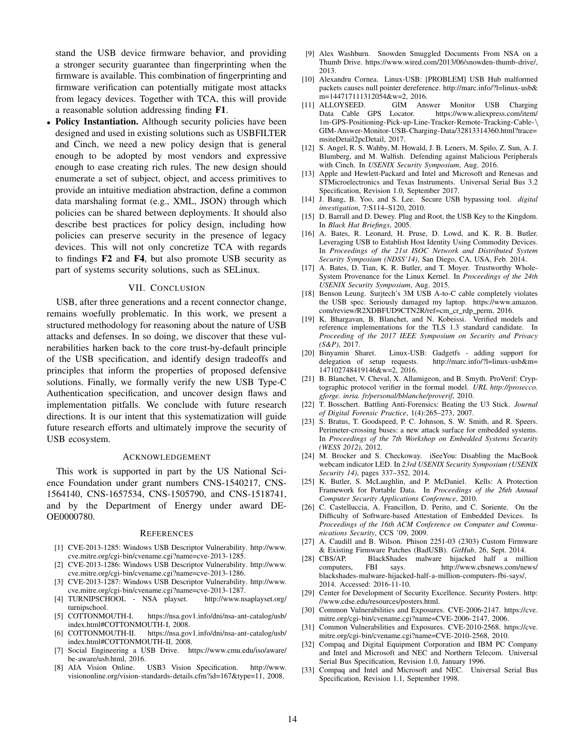stand the USB device firmware behavior, and providing a stronger security guarantee than fingerprinting when the firmware is available. This combination of fingerprinting and firmware verification can potentially mitigate most attacks from legacy devices. Together with TCA, this will provide a reasonable solution addressing finding F1.

Policy Instantiation. Although security policies have been designed and used in existing solutions such as USBFILTER and Cinch, we need a new policy design that is general enough to be adopted by most vendors and expressive enough to ease creating rich rules. The new design should enumerate a set of subject, object, and access primitives to provide an intuitive mediation abstraction, define a common data marshaling format (e.g., XML, JSON) through which policies can be shared between deployments. It should also describe best practices for policy design, including how policies can preserve security in the presence of legacy devices. This will not only concretize TCA with regards to findings F2 and F4, but also promote USB security as part of systems security solutions, such as SELinux.

## VII. CONCLUSION

USB, after three generations and a recent connector change, remains woefully problematic. In this work, we present a structured methodology for reasoning about the nature of USB attacks and defenses. In so doing, we discover that these vulnerabilities harken back to the core trust-by-default principle of the USB specification, and identify design tradeoffs and principles that inform the properties of proposed defensive solutions. Finally, we formally verify the new USB Type-C Authentication specification, and uncover design flaws and implementation pitfalls. We conclude with future research directions. It is our intent that this systematization will guide future research efforts and ultimately improve the security of USB ecosystem.

## ACKNOWLEDGEMENT

This work is supported in part by the US National Science Foundation under grant numbers CNS-1540217, CNS-1564140, CNS-1657534, CNS-1505790, and CNS-1518741, and by the Department of Energy under award DE-OE0000780.

## **REFERENCES**

- <span id="page-13-16"></span>[1] CVE-2013-1285: Windows USB Descriptor Vulnerability. [http://www.](http://www.cve.mitre.org/cgi-bin/cvename.cgi?name=cve-2013-1285) [cve.mitre.org/cgi-bin/cvename.cgi?name=cve-2013-1285.](http://www.cve.mitre.org/cgi-bin/cvename.cgi?name=cve-2013-1285)
- <span id="page-13-17"></span>[2] CVE-2013-1286: Windows USB Descriptor Vulnerability. [http://www.](http://www.cve.mitre.org/cgi-bin/cvename.cgi?name=cve-2013-1286) [cve.mitre.org/cgi-bin/cvename.cgi?name=cve-2013-1286.](http://www.cve.mitre.org/cgi-bin/cvename.cgi?name=cve-2013-1286)
- <span id="page-13-18"></span>[3] CVE-2013-1287: Windows USB Descriptor Vulnerability. [http://www.](http://www.cve.mitre.org/cgi-bin/cvename.cgi?name=cve-2013-1287) [cve.mitre.org/cgi-bin/cvename.cgi?name=cve-2013-1287.](http://www.cve.mitre.org/cgi-bin/cvename.cgi?name=cve-2013-1287)
- <span id="page-13-9"></span>[4] TURNIPSCHOOL - NSA playset. [http://www.nsaplayset.org/](http://www.nsaplayset.org/turnipschool) [turnipschool.](http://www.nsaplayset.org/turnipschool)
- <span id="page-13-10"></span>[5] COTTONMOUTH-I. [https://nsa.gov1.info/dni/nsa-ant-catalog/usb/](https://nsa.gov1.info/dni/nsa-ant-catalog/usb/index.html#COTTONMOUTH-I) [index.html#COTTONMOUTH-I,](https://nsa.gov1.info/dni/nsa-ant-catalog/usb/index.html#COTTONMOUTH-I) 2008.
- <span id="page-13-11"></span>[6] COTTONMOUTH-II. [https://nsa.gov1.info/dni/nsa-ant-catalog/usb/](https://nsa.gov1.info/dni/nsa-ant-catalog/usb/index.html#COTTONMOUTH-II) [index.html#COTTONMOUTH-II,](https://nsa.gov1.info/dni/nsa-ant-catalog/usb/index.html#COTTONMOUTH-II) 2008.
- <span id="page-13-24"></span>[7] Social Engineering a USB Drive. [https://www.cmu.edu/iso/aware/](https://www.cmu.edu/iso/aware/be-aware/usb.html) [be-aware/usb.html,](https://www.cmu.edu/iso/aware/be-aware/usb.html) 2016.
- <span id="page-13-2"></span>[8] AIA Vision Online. USB3 Vision Specification. [http://www.](http://www.visiononline.org/vision-standards-details.cfm?id=167&type=11) [visiononline.org/vision-standards-details.cfm?id=167&type=11,](http://www.visiononline.org/vision-standards-details.cfm?id=167&type=11) 2008.
- <span id="page-13-5"></span>[9] Alex Washburn. Snowden Smuggled Documents From NSA on a Thumb Drive. [https://www.wired.com/2013/06/snowden-thumb-drive/,](https://www.wired.com/2013/06/snowden-thumb-drive/) 2013.
- <span id="page-13-20"></span>[10] Alexandru Cornea. Linux-USB: [PROBLEM] USB Hub malformed packets causes null pointer dereference. [http://marc.info/?l=linux-usb&](http://marc.info/?l=linux-usb&m=144717111312054&w=2) [m=144717111312054&w=2,](http://marc.info/?l=linux-usb&m=144717111312054&w=2) 2016.
- <span id="page-13-22"></span>[11] ALLOYSEED. GIM Answer Monitor USB Charging Data Cable GPS Locator. [https://www.aliexpress.com/item/](https://www.aliexpress.com/item/1m-GPS-Positioning-Pick-up-Line-Tracker-Remote-Tracking-Cable-\GIM-Answer-Monitor-USB-Charging-Data/32813314360.html?trace=msiteDetail2pcDetail) [1m-GPS-Positioning-Pick-up-Line-Tracker-Remote-Tracking-Cable-](https://www.aliexpress.com/item/1m-GPS-Positioning-Pick-up-Line-Tracker-Remote-Tracking-Cable-\GIM-Answer-Monitor-USB-Charging-Data/32813314360.html?trace=msiteDetail2pcDetail)\ [GIM-Answer-Monitor-USB-Charging-Data/32813314360.html?trace=](https://www.aliexpress.com/item/1m-GPS-Positioning-Pick-up-Line-Tracker-Remote-Tracking-Cable-\GIM-Answer-Monitor-USB-Charging-Data/32813314360.html?trace=msiteDetail2pcDetail) [msiteDetail2pcDetail,](https://www.aliexpress.com/item/1m-GPS-Positioning-Pick-up-Line-Tracker-Remote-Tracking-Cable-\GIM-Answer-Monitor-USB-Charging-Data/32813314360.html?trace=msiteDetail2pcDetail) 2017.
- <span id="page-13-29"></span>[12] S. Angel, R. S. Wahby, M. Howald, J. B. Leners, M. Spilo, Z. Sun, A. J. Blumberg, and M. Walfish. Defending against Malicious Peripherals with Cinch. In *USENIX Security Symposium*, Aug. 2016.
- <span id="page-13-3"></span>[13] Apple and Hewlett-Packard and Intel and Microsoft and Renesas and STMicroelectronics and Texas Instruments. Universal Serial Bus 3.2 Specification, Revision 1.0, September 2017.
- <span id="page-13-12"></span>[14] J. Bang, B. Yoo, and S. Lee. Secure USB bypassing tool. *digital investigation*, 7:S114–S120, 2010.
- <span id="page-13-15"></span>[15] D. Barrall and D. Dewey. Plug and Root, the USB Key to the Kingdom. In *Black Hat Briefings*, 2005.
- <span id="page-13-23"></span>[16] A. Bates, R. Leonard, H. Pruse, D. Lowd, and K. R. B. Butler. Leveraging USB to Establish Host Identity Using Commodity Devices. In *Proceedings of the 21st ISOC Network and Distributed System Security Symposium (NDSS'14)*, San Diego, CA, USA, Feb. 2014.
- <span id="page-13-28"></span>[17] A. Bates, D. Tian, K. R. Butler, and T. Moyer. Trustworthy Whole-System Provenance for the Linux Kernel. In *Proceedings of the 24th USENIX Security Symposium*, Aug. 2015.
- <span id="page-13-4"></span>[18] Benson Leung. Surjtech's 3M USB A-to-C cable completely violates the USB spec. Seriously damaged my laptop. [https://www.amazon.](https://www.amazon.com/review/R2XDBFUD9CTN2R/ref=cm_cr_rdp_perm) [com/review/R2XDBFUD9CTN2R/ref=cm](https://www.amazon.com/review/R2XDBFUD9CTN2R/ref=cm_cr_rdp_perm)\_cr\_rdp\_perm, 2016.
- <span id="page-13-32"></span>[19] K. Bhargavan, B. Blanchet, and N. Kobeissi. Verified models and reference implementations for the TLS 1.3 standard candidate. In *Proceeding of the 2017 IEEE Symposium on Security and Privacy (S&P)*, 2017. [20] Binyamin Sharet.
- <span id="page-13-21"></span>Linux-USB: Gadgetfs - adding support for delegation of setup requests. [http://marc.info/?l=linux-usb&m=](http://marc.info/?l=linux-usb&m=147102748419146&w=2) [147102748419146&w=2,](http://marc.info/?l=linux-usb&m=147102748419146&w=2) 2016.
- <span id="page-13-31"></span>[21] B. Blanchet, V. Cheval, X. Allamigeon, and B. Smyth. ProVerif: Cryptographic protocol verifier in the formal model. *URL http://prosecco. gforge. inria. fr/personal/bblanche/proverif*, 2010.
- <span id="page-13-27"></span>[22] T. Bosschert. Battling Anti-Forensics: Beating the U3 Stick. *Journal of Digital Forensic Practice*, 1(4):265–273, 2007.
- <span id="page-13-19"></span>[23] S. Bratus, T. Goodspeed, P. C. Johnson, S. W. Smith, and R. Speers. Perimeter-crossing buses: a new attack surface for embedded systems. In *Proceedings of the 7th Workshop on Embedded Systems Security (WESS 2012)*, 2012.
- <span id="page-13-13"></span>[24] M. Brocker and S. Checkoway. iSeeYou: Disabling the MacBook webcam indicator LED. In *23rd USENIX Security Symposium (USENIX Security 14)*, pages 337–352, 2014.
- <span id="page-13-26"></span>[25] K. Butler, S. McLaughlin, and P. McDaniel. Kells: A Protection Framework for Portable Data. In *Proceedings of the 26th Annual Computer Security Applications Conference*, 2010.
- <span id="page-13-30"></span>[26] C. Castelluccia, A. Francillon, D. Perito, and C. Soriente. On the Difficulty of Software-based Attestation of Embedded Devices. In *Proceedings of the 16th ACM Conference on Computer and Communications Security*, CCS '09, 2009.
- <span id="page-13-14"></span>[27] A. Caudill and B. Wilson. Phison 2251-03 (2303) Custom Firmware & Existing Firmware Patches (BadUSB). *GitHub*, 26, Sept. 2014.
- <span id="page-13-7"></span>[28] CBS/AP. BlackShades malware hijacked half a million computers, FBI says. http://www.cbsnews.com/news/ computers, FBI says. [http://www.cbsnews.com/news/](http://www.cbsnews.com/news/blackshades-malware-hijacked-half-a-million-computers-fbi-says/) [blackshades-malware-hijacked-half-a-million-computers-fbi-says/,](http://www.cbsnews.com/news/blackshades-malware-hijacked-half-a-million-computers-fbi-says/) 2014. Accessed: 2016-11-10.
- <span id="page-13-25"></span>[29] Center for Development of Security Excellence. Security Posters. [http:](http://www.cdse.edu/resources/posters.html) [//www.cdse.edu/resources/posters.html.](http://www.cdse.edu/resources/posters.html)
- <span id="page-13-8"></span>[30] Common Vulnerabilities and Exposures. CVE-2006-2147. [https://cve.](https://cve.mitre.org/cgi-bin/cvename.cgi?name=CVE-2006-2147) [mitre.org/cgi-bin/cvename.cgi?name=CVE-2006-2147,](https://cve.mitre.org/cgi-bin/cvename.cgi?name=CVE-2006-2147) 2006.
- <span id="page-13-6"></span>[31] Common Vulnerabilities and Exposures. CVE-2010-2568. [https://cve.](https://cve.mitre.org/cgi-bin/cvename.cgi?name=CVE-2010-2568) [mitre.org/cgi-bin/cvename.cgi?name=CVE-2010-2568,](https://cve.mitre.org/cgi-bin/cvename.cgi?name=CVE-2010-2568) 2010.
- <span id="page-13-0"></span>[32] Compaq and Digital Equipment Corporation and IBM PC Company and Intel and Microsoft and NEC and Northern Telecom. Universal Serial Bus Specification, Revision 1.0, January 1996.
- <span id="page-13-1"></span>Compaq and Intel and Microsoft and NEC. Universal Serial Bus Specification, Revision 1.1, September 1998.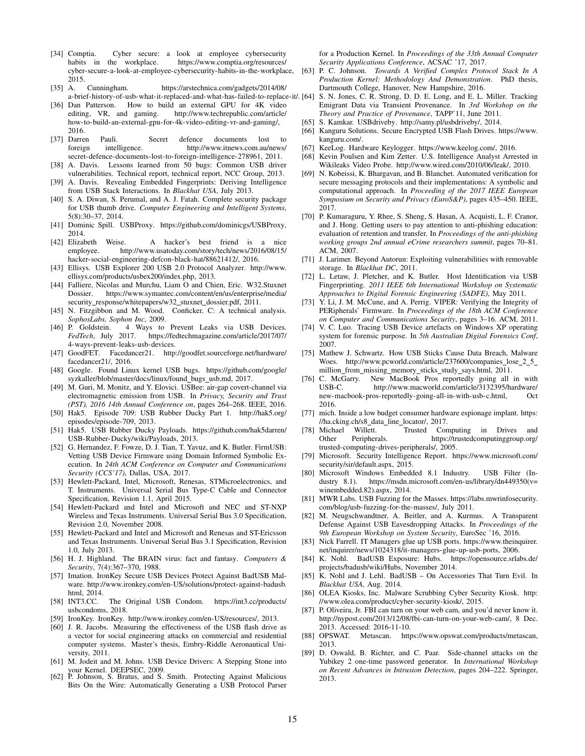- <span id="page-14-35"></span>[34] Comptia. Cyber secure: a look at employee cybersecurity habits in the workplace. https://www.comptia.org/resources/ [https://www.comptia.org/resources/](https://www.comptia.org/resources/cyber-secure-a-look-at-employee-cybersecurity-habits-in-the-workplace) [cyber-secure-a-look-at-employee-cybersecurity-habits-in-the-workplace,](https://www.comptia.org/resources/cyber-secure-a-look-at-employee-cybersecurity-habits-in-the-workplace) 2015.
- <span id="page-14-0"></span>[35] A. Cunningham. [https://arstechnica.com/gadgets/2014/08/](https://arstechnica.com/gadgets/2014/08/a-brief-history-of-usb-what-it-replaced-and-what-has-failed-to-replace-it/) [a-brief-history-of-usb-what-it-replaced-and-what-has-failed-to-replace-it/.](https://arstechnica.com/gadgets/2014/08/a-brief-history-of-usb-what-it-replaced-and-what-has-failed-to-replace-it/)
- <span id="page-14-3"></span>[36] Dan Patterson. How to build an external GPU for 4K video editing, VR, and gaming. [http://www.techrepublic.com/article/](http://www.techrepublic.com/article/how-to-build-an-external-gpu-for-4k-video-editing-vr-and-gaming/) [how-to-build-an-external-gpu-for-4k-video-editing-vr-and-gaming/,](http://www.techrepublic.com/article/how-to-build-an-external-gpu-for-4k-video-editing-vr-and-gaming/) 2016.
- <span id="page-14-8"></span>[37] Darren Pauli. Secret defence documents lost to foreign intelligence. [http://www.itnews.com.au/news/](http://www.itnews.com.au/news/secret-defence-documents-lost-to-foreign-intelligence-278961) [secret-defence-documents-lost-to-foreign-intelligence-278961,](http://www.itnews.com.au/news/secret-defence-documents-lost-to-foreign-intelligence-278961) 2011.
- <span id="page-14-22"></span>[38] A. Davis. Lessons learned from 50 bugs: Common USB driver
- <span id="page-14-29"></span>vulnerabilities. Technical report, technical report, NCC Group, 2013. [39] A. Davis. Revealing Embedded Fingerprints: Deriving Intelligence from USB Stack Interactions. In *Blackhat USA*, July 2013.
- <span id="page-14-40"></span>[40] S. A. Diwan, S. Perumal, and A. J. Fatah. Complete security package for USB thumb drive. *Computer Engineering and Intelligent Systems*, 5(8):30–37, 2014.
- <span id="page-14-24"></span>[41] Dominic Spill. USBProxy. [https://github.com/dominicgs/USBProxy,](https://github.com/dominicgs/USBProxy) 2014.<br>[42] Elizabeth
- <span id="page-14-37"></span>Weise. A hacker's best friend is a nice employee. [http://www.usatoday.com/story/tech/news/2016/08/15/](http://www.usatoday.com/story/tech/news/2016/08/15/hacker-social-engineering-defcon-black-hat/88621412/) [hacker-social-engineering-defcon-black-hat/88621412/,](http://www.usatoday.com/story/tech/news/2016/08/15/hacker-social-engineering-defcon-black-hat/88621412/) 2016.
- <span id="page-14-31"></span>[43] Ellisys. USB Explorer 200 USB 2.0 Protocol Analyzer. [http://www.](http://www.ellisys.com/products/usbex200/index.php) [ellisys.com/products/usbex200/index.php,](http://www.ellisys.com/products/usbex200/index.php) 2013.
- <span id="page-14-10"></span>[44] Falliere, Nicolas and Murchu, Liam O and Chien, Eric. W32.Stuxnet Dossier. [https://www.symantec.com/content/en/us/enterprise/media/](https://www.symantec.com/content/en/us/enterprise/media/security_response/whitepapers/w32_stuxnet_dossier.pdf) security\_[response/whitepapers/w32](https://www.symantec.com/content/en/us/enterprise/media/security_response/whitepapers/w32_stuxnet_dossier.pdf)\_stuxnet\_dossier.pdf, 2011.
- <span id="page-14-11"></span>[45] N. Fitzgibbon and M. Wood. Conficker. C: A technical analysis. *SophosLabs, Sophon Inc*, 2009.
- <span id="page-14-9"></span>[46] P. Goldstein. 4 Ways to Prevent Leaks via USB Devices. *FedTech*, July 2017. [https://fedtechmagazine.com/article/2017/07/](https://fedtechmagazine.com/article/2017/07/4-ways-prevent-leaks-usb-devices) [4-ways-prevent-leaks-usb-devices.](https://fedtechmagazine.com/article/2017/07/4-ways-prevent-leaks-usb-devices)
- <span id="page-14-20"></span>[47] GoodFET. Facedancer21. [http://goodfet.sourceforge.net/hardware/](http://goodfet.sourceforge.net/hardware/facedancer21/) [facedancer21/,](http://goodfet.sourceforge.net/hardware/facedancer21/) 2016.
- <span id="page-14-23"></span>[48] Google. Found Linux kernel USB bugs. [https://github.com/google/](https://github.com/google/syzkaller/blob/master/docs/linux/found_bugs_usb.md) [syzkaller/blob/master/docs/linux/found](https://github.com/google/syzkaller/blob/master/docs/linux/found_bugs_usb.md)\_bugs\_usb.md, 2017.
- <span id="page-14-15"></span>[49] M. Guri, M. Monitz, and Y. Elovici. USBee: air-gap covert-channel via electromagnetic emission from USB. In *Privacy, Security and Trust (PST), 2016 14th Annual Conference on*, pages 264–268. IEEE, 2016.
- <span id="page-14-16"></span>[50] Hak5. Episode 709: USB Rubber Ducky Part 1. [http://hak5.org/](http://hak5.org/episodes/episode-709) [episodes/episode-709,](http://hak5.org/episodes/episode-709) 2013.
- <span id="page-14-17"></span>[51] Hak5. USB Rubber Ducky Payloads. [https://github.com/hak5darren/](https://github.com/hak5darren/USB-Rubber-Ducky/wiki/Payloads) [USB-Rubber-Ducky/wiki/Payloads,](https://github.com/hak5darren/USB-Rubber-Ducky/wiki/Payloads) 2013.
- <span id="page-14-50"></span>[52] G. Hernandez, F. Fowze, D. J. Tian, T. Yavuz, and K. Butler. FirmUSB: Vetting USB Device Firmware using Domain Informed Symbolic Execution. In *24th ACM Conference on Computer and Communications Security (CCS'17)*, Dallas, USA, 2017.
- <span id="page-14-5"></span>[53] Hewlett-Packard, Intel, Microsoft, Renesas, STMicroelectronics, and T. Instruments. Universal Serial Bus Type-C Cable and Connector Specification, Revision 1.1, April 2015.
- <span id="page-14-2"></span>[54] Hewlett-Packard and Intel and Microsoft and NEC and ST-NXP Wireless and Texas Instruments. Universal Serial Bus 3.0 Specification, Revision 2.0, November 2008.
- <span id="page-14-4"></span>[55] Hewlett-Packard and Intel and Microsoft and Renesas and ST-Ericsson and Texas Instruments. Universal Serial Bus 3.1 Specification, Revision 1.0, July 2013.
- <span id="page-14-34"></span>[56] H. J. Highland. The BRAIN virus: fact and fantasy. *Computers & Security*, 7(4):367–370, 1988.
- <span id="page-14-49"></span>[57] Imation. IronKey Secure USB Devices Protect Against BadUSB Malware. [http://www.ironkey.com/en-US/solutions/protect-against-badusb.](http://www.ironkey.com/en-US/solutions/protect-against-badusb.html) [html,](http://www.ironkey.com/en-US/solutions/protect-against-badusb.html) 2014.
- <span id="page-14-44"></span>[58] INT3.CC. The Original USB Condom. [https://int3.cc/products/](https://int3.cc/products/usbcondoms) [usbcondoms,](https://int3.cc/products/usbcondoms) 2018.
- <span id="page-14-38"></span>[59] IronKey. IronKey. [http://www.ironkey.com/en-US/resources/,](http://www.ironkey.com/en-US/resources/) 2013.
- <span id="page-14-6"></span>[60] J. R. Jacobs. Measuring the effectiveness of the USB flash drive as a vector for social engineering attacks on commercial and residential computer systems. Master's thesis, Embry-Riddle Aeronautical University, 2011.
- <span id="page-14-53"></span>[61] M. Jodeit and M. Johns. USB Device Drivers: A Stepping Stone into your Kernel. DEEPSEC, 2009.
- <span id="page-14-54"></span>[62] P. Johnson, S. Bratus, and S. Smith. Protecting Against Malicious Bits On the Wire: Automatically Generating a USB Protocol Parser

for a Production Kernel. In *Proceedings of the 33th Annual Computer Security Applications Conference*, ACSAC '17, 2017.

- <span id="page-14-21"></span>[63] P. C. Johnson. *Towards A Verified Complex Protocol Stack In A Production Kernel: Methodology And Demonstration*. PhD thesis, Dartmouth College, Hanover, New Hampshire, 2016.
- <span id="page-14-42"></span>[64] S. N. Jones, C. R. Strong, D. D. E. Long, and E. L. Miller. Tracking Emigrant Data via Transient Provenance. In *3rd Workshop on the Theory and Practice of Provenance*, TAPP'11, June 2011.
- <span id="page-14-18"></span>[65] S. Kamkar. USBdriveby. [http://samy.pl/usbdriveby/,](http://samy.pl/usbdriveby/) 2014.
- <span id="page-14-39"></span>[66] Kanguru Solutions. Secure Encrypted USB Flash Drives. [https://www.](https://www.kanguru.com/) [kanguru.com/.](https://www.kanguru.com/)
- <span id="page-14-25"></span>[67] KeeLog. Hardware Keylogger. [https://www.keelog.com/,](https://www.keelog.com/) 2016.
- <span id="page-14-33"></span>[68] Kevin Poulsen and Kim Zetter. U.S. Intelligence Analyst Arrested in Wikileaks Video Probe. [http://www.wired.com/2010/06/leak/,](http://www.wired.com/2010/06/leak/) 2010.
- <span id="page-14-55"></span>[69] N. Kobeissi, K. Bhargavan, and B. Blanchet. Automated verification for secure messaging protocols and their implementations: A symbolic and computational approach. In *Proceeding of the 2017 IEEE European Symposium on Security and Privacy (EuroS&P)*, pages 435–450. IEEE, 2017.
- <span id="page-14-36"></span>[70] P. Kumaraguru, Y. Rhee, S. Sheng, S. Hasan, A. Acquisti, L. F. Cranor, and J. Hong. Getting users to pay attention to anti-phishing education: evaluation of retention and transfer. In *Proceedings of the anti-phishing working groups 2nd annual eCrime researchers summit*, pages 70–81. ACM, 2007.
- <span id="page-14-13"></span>[71] J. Larimer. Beyond Autorun: Exploiting vulnerabilities with removable storage. In *Blackhat DC*, 2011.
- <span id="page-14-30"></span>[72] L. Letaw, J. Pletcher, and K. Butler. Host Identification via USB Fingerprinting. *2011 IEEE 6th International Workshop on Systematic Approaches to Digital Forensic Engineering (SADFE)*, May 2011.
- <span id="page-14-51"></span>[73] Y. Li, J. M. McCune, and A. Perrig. VIPER: Verifying the Integrity of PERipherals' Firmware. In *Proceedings of the 18th ACM Conference on Computer and Communications Security*, pages 3–16. ACM, 2011.
- <span id="page-14-41"></span>[74] V. C. Luo. Tracing USB Device artefacts on Windows XP operating system for forensic purpose. In *5th Australian Digital Forensics Conf*, 2007.
- <span id="page-14-7"></span>[75] Mathew J. Schwartz. How USB Sticks Cause Data Breach, Malware Woes. [http://www.pcworld.com/article/237600/companies](http://www.pcworld.com/article/237600/companies_lose_2_5_million_from_missing_memory_sticks_study_says.html)\_lose\_2\_5\_ million\_from\_missing\_memory\_sticks\_study\_[says.html,](http://www.pcworld.com/article/237600/companies_lose_2_5_million_from_missing_memory_sticks_study_says.html) 2011.
- <span id="page-14-1"></span>[76] C. McGarry. New MacBook Pros reportedly going all in with USB-C. http://www.macworld.com/article/3132395/hardware/ [http://www.macworld.com/article/3132395/hardware/](http://www.macworld.com/article/3132395/hardware/new-macbook-pros-reportedly-going-all-in-with-usb-c.html) [new-macbook-pros-reportedly-going-all-in-with-usb-c.html,](http://www.macworld.com/article/3132395/hardware/new-macbook-pros-reportedly-going-all-in-with-usb-c.html) Oct 2016.
- <span id="page-14-27"></span>[77] mich. Inside a low budget consumer hardware espionage implant. [https:](https://ha.cking.ch/s8_data_line_locator/) [//ha.cking.ch/s8](https://ha.cking.ch/s8_data_line_locator/) data line locator/, 2017.
- <span id="page-14-45"></span>[78] Michael Willett. Trusted Computing in Drives and Other Peripherals. [https://trustedcomputinggroup.org/](https://trustedcomputinggroup.org/trusted-computing-drives-peripherals/) [trusted-computing-drives-peripherals/,](https://trustedcomputinggroup.org/trusted-computing-drives-peripherals/) 2005.
- <span id="page-14-12"></span>[79] Microsoft. Security Intelligence Report. [https://www.microsoft.com/](https://www.microsoft.com/security/sir/default.aspx) [security/sir/default.aspx,](https://www.microsoft.com/security/sir/default.aspx) 2015.
- <span id="page-14-48"></span>[80] Microsoft Windows Embedded 8.1 Industry. USB Filter (Industry 8.1). [https://msdn.microsoft.com/en-us/library/dn449350\(v=](https://msdn.microsoft.com/en-us/library/dn449350(v=winembedded.82).aspx) [winembedded.82\).aspx,](https://msdn.microsoft.com/en-us/library/dn449350(v=winembedded.82).aspx) 2014.
- <span id="page-14-52"></span>[81] MWR Labs. USB Fuzzing for the Masses. [https://labs.mwrinfosecurity.](https://labs.mwrinfosecurity.com/blog/usb-fuzzing-for-the-masses/) [com/blog/usb-fuzzing-for-the-masses/,](https://labs.mwrinfosecurity.com/blog/usb-fuzzing-for-the-masses/) July 2011.
- <span id="page-14-26"></span>[82] M. Neugschwandtner, A. Beitler, and A. Kurmus. A Transparent Defense Against USB Eavesdropping Attacks. In *Proceedings of the 9th European Workshop on System Security*, EuroSec '16, 2016.
- <span id="page-14-43"></span>[83] Nick Farrell. IT Managers glue up USB ports. [https://www.theinquirer.](https://www.theinquirer.net/inquirer/news/1024318/it-managers-glue-up-usb-ports) [net/inquirer/news/1024318/it-managers-glue-up-usb-ports,](https://www.theinquirer.net/inquirer/news/1024318/it-managers-glue-up-usb-ports) 2006.
- <span id="page-14-28"></span>[84] K. Nohl. BadUSB Exposure: Hubs. [https://opensource.srlabs.de/](https://opensource.srlabs.de/projects/badusb/wiki/Hubs) [projects/badusb/wiki/Hubs,](https://opensource.srlabs.de/projects/badusb/wiki/Hubs) November 2014.
- <span id="page-14-19"></span>[85] K. Nohl and J. Lehl. BadUSB – On Accessories That Turn Evil. In *Blackhat USA*, Aug. 2014.
- <span id="page-14-47"></span>[86] OLEA Kiosks, Inc. Malware Scrubbing Cyber Security Kiosk. [http:](http://www.olea.com/product/cyber-security-kiosk/) [//www.olea.com/product/cyber-security-kiosk/,](http://www.olea.com/product/cyber-security-kiosk/) 2015.
- <span id="page-14-14"></span>[87] P. Oliveira, Jr. FBI can turn on your web cam, and you'd never know it. [http://nypost.com/2013/12/08/fbi-can-turn-on-your-web-cam/,](http://nypost.com/2013/12/08/fbi-can-turn-on-your-web-cam/) 8 Dec. 2013. Accessed: 2016-11-10.
- <span id="page-14-46"></span>[88] OPSWAT. Metascan. [https://www.opswat.com/products/metascan,](https://www.opswat.com/products/metascan) 2013.
- <span id="page-14-32"></span>[89] D. Oswald, B. Richter, and C. Paar. Side-channel attacks on the Yubikey 2 one-time password generator. In *International Workshop on Recent Advances in Intrusion Detection*, pages 204–222. Springer, 2013.